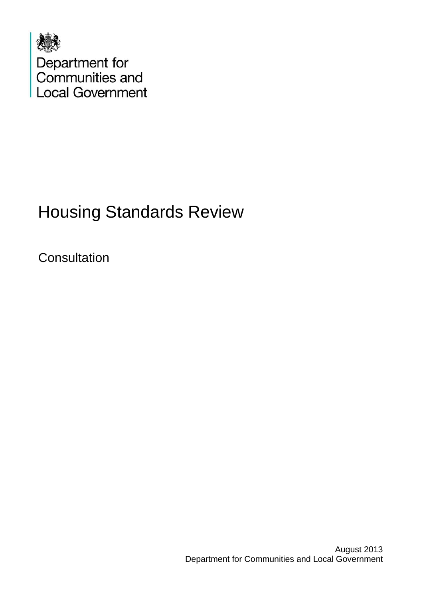

# Housing Standards Review

**Consultation**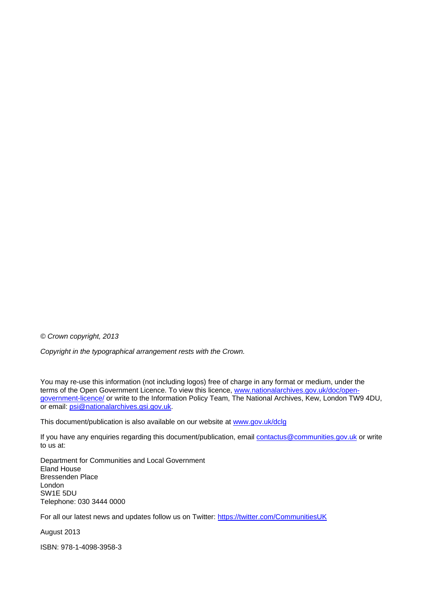*© Crown copyright, 2013* 

*Copyright in the typographical arrangement rests with the Crown.* 

You may re-use this information (not including logos) free of charge in any format or medium, under the terms of the Open Government Licence. To view this licence, [www.nationalarchives.gov.uk/doc/open](http://www.nationalarchives.gov.uk/doc/open-government-licence/)[government-licence/](http://www.nationalarchives.gov.uk/doc/open-government-licence/) or write to the Information Policy Team, The National Archives, Kew, London TW9 4DU, or email: [psi@nationalarchives.gsi.gov.uk.](mailto:psi@nationalarchives.gsi.gov.uk)

This document/publication is also available on our website at [www.gov.uk/dclg](http://www.gov.uk/dclg)

If you have any enquiries regarding this document/publication, email [contactus@communities.gov.uk](mailto:contactus@communities.gsi.gov.uk) or write to us at:

Department for Communities and Local Government Eland House Bressenden Place London SW1E 5DU Telephone: 030 3444 0000

For all our latest news and updates follow us on Twitter: https://twitter.com/CommunitiesUK

August 2013

ISBN: 978-1-4098-3958-3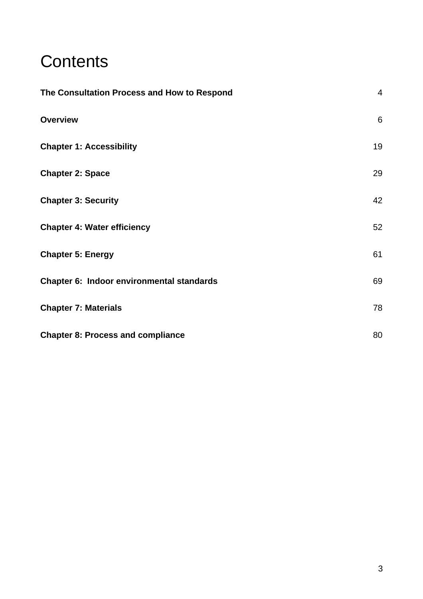# **Contents**

| The Consultation Process and How to Respond | $\overline{4}$ |
|---------------------------------------------|----------------|
| <b>Overview</b>                             | $6\phantom{1}$ |
| <b>Chapter 1: Accessibility</b>             | 19             |
| <b>Chapter 2: Space</b>                     | 29             |
| <b>Chapter 3: Security</b>                  | 42             |
| <b>Chapter 4: Water efficiency</b>          | 52             |
| <b>Chapter 5: Energy</b>                    | 61             |
| Chapter 6: Indoor environmental standards   | 69             |
| <b>Chapter 7: Materials</b>                 | 78             |
| <b>Chapter 8: Process and compliance</b>    | 80             |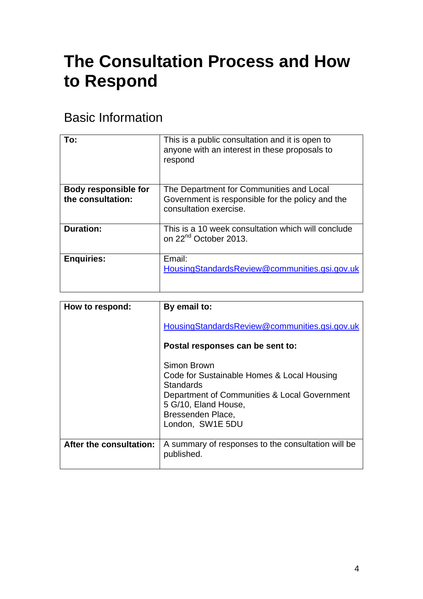# <span id="page-3-0"></span>**The Consultation Process and How to Respond**

# Basic Information

| To:                                              | This is a public consultation and it is open to<br>anyone with an interest in these proposals to<br>respond            |
|--------------------------------------------------|------------------------------------------------------------------------------------------------------------------------|
|                                                  |                                                                                                                        |
| <b>Body responsible for</b><br>the consultation: | The Department for Communities and Local<br>Government is responsible for the policy and the<br>consultation exercise. |
| <b>Duration:</b>                                 | This is a 10 week consultation which will conclude<br>on 22 <sup>nd</sup> October 2013.                                |
| <b>Enquiries:</b>                                | Email:<br>HousingStandardsReview@communities.gsi.gov.uk                                                                |

| How to respond:         | By email to:<br>HousingStandardsReview@communities.gsi.gov.uk                             |
|-------------------------|-------------------------------------------------------------------------------------------|
|                         | Postal responses can be sent to:                                                          |
|                         | Simon Brown<br>Code for Sustainable Homes & Local Housing<br>Standards                    |
|                         | Department of Communities & Local Government<br>5 G/10, Eland House,<br>Bressenden Place, |
|                         | London, SW1E 5DU                                                                          |
| After the consultation: | A summary of responses to the consultation will be<br>published.                          |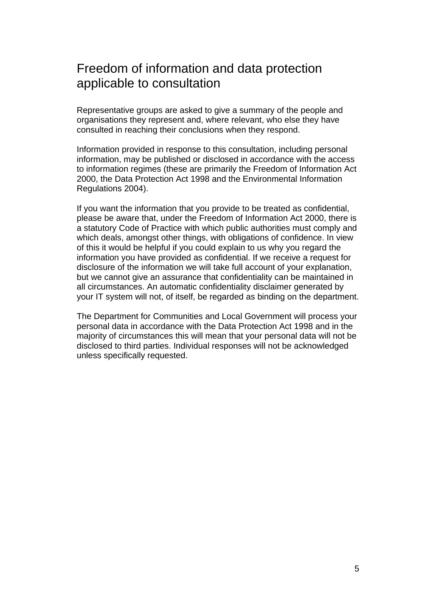#### Freedom of information and data protection applicable to consultation

Representative groups are asked to give a summary of the people and organisations they represent and, where relevant, who else they have consulted in reaching their conclusions when they respond.

Information provided in response to this consultation, including personal information, may be published or disclosed in accordance with the access to information regimes (these are primarily the Freedom of Information Act 2000, the Data Protection Act 1998 and the Environmental Information Regulations 2004).

If you want the information that you provide to be treated as confidential, please be aware that, under the Freedom of Information Act 2000, there is a statutory Code of Practice with which public authorities must comply and which deals, amongst other things, with obligations of confidence. In view of this it would be helpful if you could explain to us why you regard the information you have provided as confidential. If we receive a request for disclosure of the information we will take full account of your explanation, but we cannot give an assurance that confidentiality can be maintained in all circumstances. An automatic confidentiality disclaimer generated by your IT system will not, of itself, be regarded as binding on the department.

The Department for Communities and Local Government will process your personal data in accordance with the Data Protection Act 1998 and in the majority of circumstances this will mean that your personal data will not be disclosed to third parties. Individual responses will not be acknowledged unless specifically requested.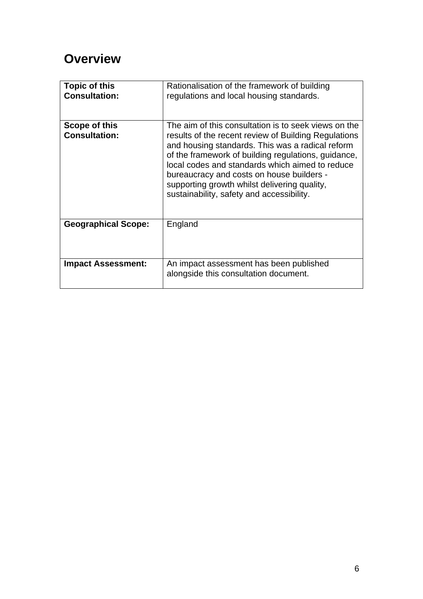# <span id="page-5-0"></span>**Overview**

| <b>Topic of this</b><br><b>Consultation:</b> | Rationalisation of the framework of building<br>regulations and local housing standards.                                                                                                                                                                                                                                                                                                                             |
|----------------------------------------------|----------------------------------------------------------------------------------------------------------------------------------------------------------------------------------------------------------------------------------------------------------------------------------------------------------------------------------------------------------------------------------------------------------------------|
| Scope of this<br><b>Consultation:</b>        | The aim of this consultation is to seek views on the<br>results of the recent review of Building Regulations<br>and housing standards. This was a radical reform<br>of the framework of building regulations, guidance,<br>local codes and standards which aimed to reduce<br>bureaucracy and costs on house builders -<br>supporting growth whilst delivering quality,<br>sustainability, safety and accessibility. |
| <b>Geographical Scope:</b>                   | England                                                                                                                                                                                                                                                                                                                                                                                                              |
| <b>Impact Assessment:</b>                    | An impact assessment has been published<br>alongside this consultation document.                                                                                                                                                                                                                                                                                                                                     |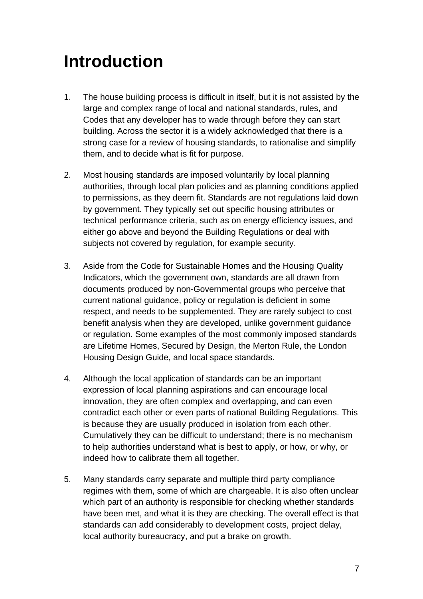# **Introduction**

- 1. The house building process is difficult in itself, but it is not assisted by the large and complex range of local and national standards, rules, and Codes that any developer has to wade through before they can start building. Across the sector it is a widely acknowledged that there is a strong case for a review of housing standards, to rationalise and simplify them, and to decide what is fit for purpose.
- 2. Most housing standards are imposed voluntarily by local planning authorities, through local plan policies and as planning conditions applied to permissions, as they deem fit. Standards are not regulations laid down by government. They typically set out specific housing attributes or technical performance criteria, such as on energy efficiency issues, and either go above and beyond the Building Regulations or deal with subjects not covered by regulation, for example security.
- 3. Aside from the Code for Sustainable Homes and the Housing Quality Indicators, which the government own, standards are all drawn from documents produced by non-Governmental groups who perceive that current national guidance, policy or regulation is deficient in some respect, and needs to be supplemented. They are rarely subject to cost benefit analysis when they are developed, unlike government guidance or regulation. Some examples of the most commonly imposed standards are Lifetime Homes, Secured by Design, the Merton Rule, the London Housing Design Guide, and local space standards.
- 4. Although the local application of standards can be an important expression of local planning aspirations and can encourage local innovation, they are often complex and overlapping, and can even contradict each other or even parts of national Building Regulations. This is because they are usually produced in isolation from each other. Cumulatively they can be difficult to understand; there is no mechanism to help authorities understand what is best to apply, or how, or why, or indeed how to calibrate them all together.
- 5. Many standards carry separate and multiple third party compliance regimes with them, some of which are chargeable. It is also often unclear which part of an authority is responsible for checking whether standards have been met, and what it is they are checking. The overall effect is that standards can add considerably to development costs, project delay, local authority bureaucracy, and put a brake on growth.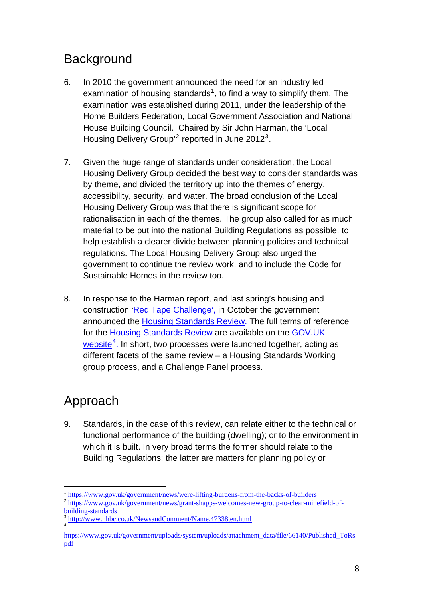# <span id="page-7-0"></span>**Background**

- 6. In 2010 the government announced the need for an industry led examination of housing standards<sup>[1](#page-7-0)</sup>, to find a way to simplify them. The examination was established during 2011, under the leadership of the Home Builders Federation, Local Government Association and National House Building Council. Chaired by Sir John Harman, the 'Local Housing Delivery Group<sup>[2](#page-7-0)</sup> reported in June 2012<sup>[3](#page-7-0)</sup>.
- 7. Given the huge range of standards under consideration, the Local Housing Delivery Group decided the best way to consider standards was by theme, and divided the territory up into the themes of energy, accessibility, security, and water. The broad conclusion of the Local Housing Delivery Group was that there is significant scope for rationalisation in each of the themes. The group also called for as much material to be put into the national Building Regulations as possible, to help establish a clearer divide between planning policies and technical regulations. The Local Housing Delivery Group also urged the government to continue the review work, and to include the Code for Sustainable Homes in the review too.
- 8. In response to the Harman report, and last spring's housing and construction '[Red Tape Challenge'](http://www.redtapechallenge.cabinetoffice.gov.uk/home/index/), in October the government announced the [Housing Standards Review](https://www.gov.uk/government/news/independent-panel-to-help-government-cut-housebuilding-red-tape-and-boost-growth). The full terms of reference for the [Housing Standards Review](https://www.gov.uk/government/news/independent-panel-to-help-government-cut-housebuilding-red-tape-and-boost-growth) are available on the GOV.UK website<sup>[4](#page-7-0)</sup>. In short, two processes were launched together, acting as different facets of the same review – a Housing Standards Working group process, and a Challenge Panel process.

# Approach

9. Standards, in the case of this review, can relate either to the technical or functional performance of the building (dwelling); or to the environment in which it is built. In very broad terms the former should relate to the Building Regulations; the latter are matters for planning policy or

 $\overline{a}$ 

 $\frac{1}{2}$  <https://www.gov.uk/government/news/were-lifting-burdens-from-the-backs-of-builders>  $\frac{1}{2}$  [https://www.gov.uk/government/news/grant-shapps-welcomes-new-group-to-clear-minefield-of](https://www.gov.uk/government/news/grant-shapps-welcomes-new-group-to-clear-minefield-of-building-standards)[building-standards](https://www.gov.uk/government/news/grant-shapps-welcomes-new-group-to-clear-minefield-of-building-standards)

<sup>3</sup> <http://www.nhbc.co.uk/NewsandComment/Name,47338,en.html> 4

[https://www.gov.uk/government/uploads/system/uploads/attachment\\_data/file/66140/Published\\_ToRs.](https://www.gov.uk/government/uploads/system/uploads/attachment_data/file/66140/Published_ToRs.pdf) [pdf](https://www.gov.uk/government/uploads/system/uploads/attachment_data/file/66140/Published_ToRs.pdf)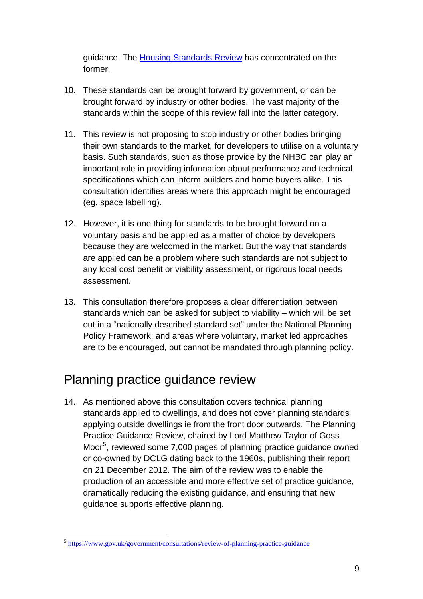<span id="page-8-0"></span>guidance. The Housing Standards Review has concentrated on the former.

- 10. These standards can be brought forward by government, or can be brought forward by industry or other bodies. The vast majority of the standards within the scope of this review fall into the latter category.
- 11. This review is not proposing to stop industry or other bodies bringing their own standards to the market, for developers to utilise on a voluntary basis. Such standards, such as those provide by the NHBC can play an important role in providing information about performance and technical specifications which can inform builders and home buyers alike. This consultation identifies areas where this approach might be encouraged (eg, space labelling).
- 12. However, it is one thing for standards to be brought forward on a voluntary basis and be applied as a matter of choice by developers because they are welcomed in the market. But the way that standards are applied can be a problem where such standards are not subject to any local cost benefit or viability assessment, or rigorous local needs assessment.
- 13. This consultation therefore proposes a clear differentiation between standards which can be asked for subject to viability – which will be set out in a "nationally described standard set" under the National Planning Policy Framework; and areas where voluntary, market led approaches are to be encouraged, but cannot be mandated through planning policy.

## Planning practice guidance review

14. As mentioned above this consultation covers technical planning standards applied to dwellings, and does not cover planning standards applying outside dwellings ie from the front door outwards. The Planning Practice Guidance Review, chaired by Lord Matthew Taylor of Goss Moor<sup>[5](#page-8-0)</sup>, reviewed some 7,000 pages of planning practice guidance owned or co-owned by DCLG dating back to the 1960s, publishing their report on 21 December 2012. The aim of the review was to enable the production of an accessible and more effective set of practice guidance, dramatically reducing the existing guidance, and ensuring that new guidance supports effective planning.

 $\overline{a}$ 

<sup>5</sup> <https://www.gov.uk/government/consultations/review-of-planning-practice-guidance>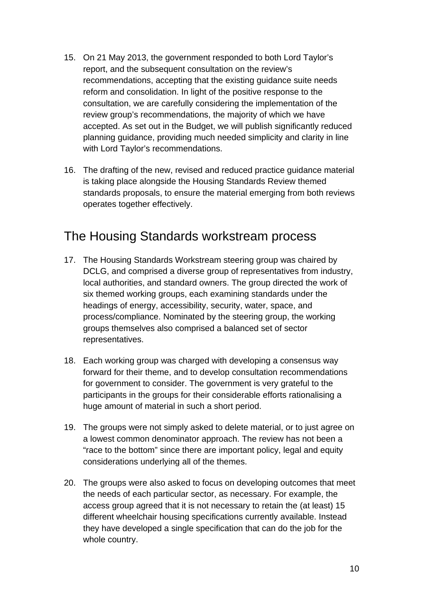- 15. On 21 May 2013, the government responded to both Lord Taylor's report, and the subsequent consultation on the review's recommendations, accepting that the existing guidance suite needs reform and consolidation. In light of the positive response to the consultation, we are carefully considering the implementation of the review group's recommendations, the majority of which we have accepted. As set out in the Budget, we will publish significantly reduced planning guidance, providing much needed simplicity and clarity in line with Lord Taylor's recommendations.
- 16. The drafting of the new, revised and reduced practice guidance material is taking place alongside the Housing Standards Review themed standards proposals, to ensure the material emerging from both reviews operates together effectively.

#### The Housing Standards workstream process

- 17. The Housing Standards Workstream steering group was chaired by DCLG, and comprised a diverse group of representatives from industry, local authorities, and standard owners. The group directed the work of six themed working groups, each examining standards under the headings of energy, accessibility, security, water, space, and process/compliance. Nominated by the steering group, the working groups themselves also comprised a balanced set of sector representatives.
- 18. Each working group was charged with developing a consensus way forward for their theme, and to develop consultation recommendations for government to consider. The government is very grateful to the participants in the groups for their considerable efforts rationalising a huge amount of material in such a short period.
- 19. The groups were not simply asked to delete material, or to just agree on a lowest common denominator approach. The review has not been a "race to the bottom" since there are important policy, legal and equity considerations underlying all of the themes.
- 20. The groups were also asked to focus on developing outcomes that meet the needs of each particular sector, as necessary. For example, the access group agreed that it is not necessary to retain the (at least) 15 different wheelchair housing specifications currently available. Instead they have developed a single specification that can do the job for the whole country.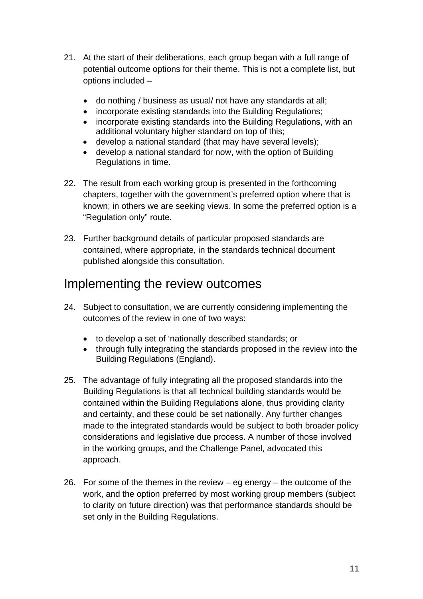- 21. At the start of their deliberations, each group began with a full range of potential outcome options for their theme. This is not a complete list, but options included –
	- do nothing / business as usual/ not have any standards at all;
	- incorporate existing standards into the Building Regulations;
	- incorporate existing standards into the Building Regulations, with an additional voluntary higher standard on top of this;
	- develop a national standard (that may have several levels);
	- develop a national standard for now, with the option of Building Regulations in time.
- 22. The result from each working group is presented in the forthcoming chapters, together with the government's preferred option where that is known; in others we are seeking views. In some the preferred option is a "Regulation only" route.
- 23. Further background details of particular proposed standards are contained, where appropriate, in the standards technical document published alongside this consultation.

## Implementing the review outcomes

- 24. Subject to consultation, we are currently considering implementing the outcomes of the review in one of two ways:
	- to develop a set of 'nationally described standards; or
	- through fully integrating the standards proposed in the review into the Building Regulations (England).
- 25. The advantage of fully integrating all the proposed standards into the Building Regulations is that all technical building standards would be contained within the Building Regulations alone, thus providing clarity and certainty, and these could be set nationally. Any further changes made to the integrated standards would be subject to both broader policy considerations and legislative due process. A number of those involved in the working groups, and the Challenge Panel, advocated this approach.
- 26. For some of the themes in the review  $-$  eg energy  $-$  the outcome of the work, and the option preferred by most working group members (subject to clarity on future direction) was that performance standards should be set only in the Building Regulations.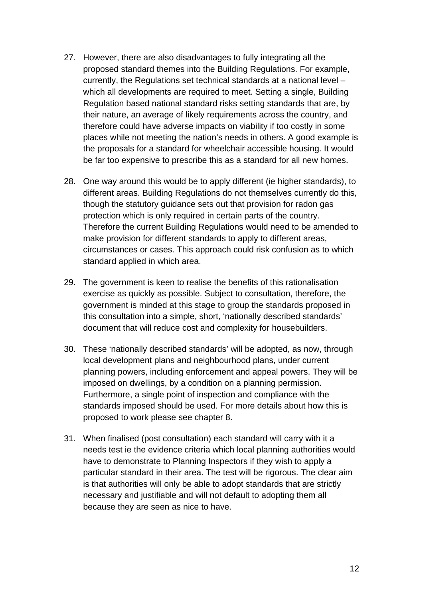- 27. However, there are also disadvantages to fully integrating all the proposed standard themes into the Building Regulations. For example, currently, the Regulations set technical standards at a national level – which all developments are required to meet. Setting a single, Building Regulation based national standard risks setting standards that are, by their nature, an average of likely requirements across the country, and therefore could have adverse impacts on viability if too costly in some places while not meeting the nation's needs in others. A good example is the proposals for a standard for wheelchair accessible housing. It would be far too expensive to prescribe this as a standard for all new homes.
- 28. One way around this would be to apply different (ie higher standards), to different areas. Building Regulations do not themselves currently do this, though the statutory guidance sets out that provision for radon gas protection which is only required in certain parts of the country. Therefore the current Building Regulations would need to be amended to make provision for different standards to apply to different areas, circumstances or cases. This approach could risk confusion as to which standard applied in which area.
- 29. The government is keen to realise the benefits of this rationalisation exercise as quickly as possible. Subject to consultation, therefore, the government is minded at this stage to group the standards proposed in this consultation into a simple, short, 'nationally described standards' document that will reduce cost and complexity for housebuilders.
- 30. These 'nationally described standards' will be adopted, as now, through local development plans and neighbourhood plans, under current planning powers, including enforcement and appeal powers. They will be imposed on dwellings, by a condition on a planning permission. Furthermore, a single point of inspection and compliance with the standards imposed should be used. For more details about how this is proposed to work please see chapter 8.
- 31. When finalised (post consultation) each standard will carry with it a needs test ie the evidence criteria which local planning authorities would have to demonstrate to Planning Inspectors if they wish to apply a particular standard in their area. The test will be rigorous. The clear aim is that authorities will only be able to adopt standards that are strictly necessary and justifiable and will not default to adopting them all because they are seen as nice to have.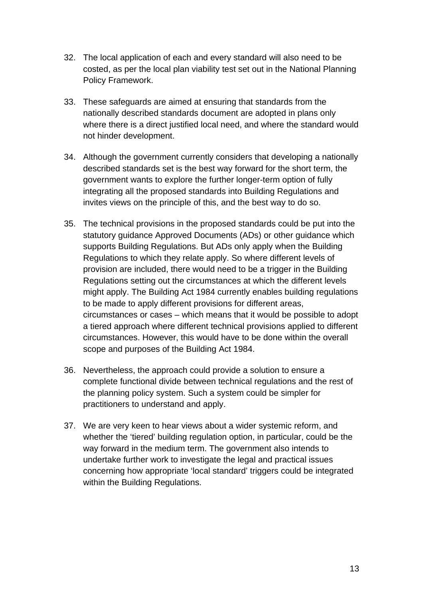- 32. The local application of each and every standard will also need to be costed, as per the local plan viability test set out in the National Planning Policy Framework.
- 33. These safeguards are aimed at ensuring that standards from the nationally described standards document are adopted in plans only where there is a direct justified local need, and where the standard would not hinder development.
- 34. Although the government currently considers that developing a nationally described standards set is the best way forward for the short term, the government wants to explore the further longer-term option of fully integrating all the proposed standards into Building Regulations and invites views on the principle of this, and the best way to do so.
- 35. The technical provisions in the proposed standards could be put into the statutory guidance Approved Documents (ADs) or other guidance which supports Building Regulations. But ADs only apply when the Building Regulations to which they relate apply. So where different levels of provision are included, there would need to be a trigger in the Building Regulations setting out the circumstances at which the different levels might apply. The Building Act 1984 currently enables building regulations to be made to apply different provisions for different areas, circumstances or cases – which means that it would be possible to adopt a tiered approach where different technical provisions applied to different circumstances. However, this would have to be done within the overall scope and purposes of the Building Act 1984.
- 36. Nevertheless, the approach could provide a solution to ensure a complete functional divide between technical regulations and the rest of the planning policy system. Such a system could be simpler for practitioners to understand and apply.
- 37. We are very keen to hear views about a wider systemic reform, and whether the 'tiered' building regulation option, in particular, could be the way forward in the medium term. The government also intends to undertake further work to investigate the legal and practical issues concerning how appropriate 'local standard' triggers could be integrated within the Building Regulations.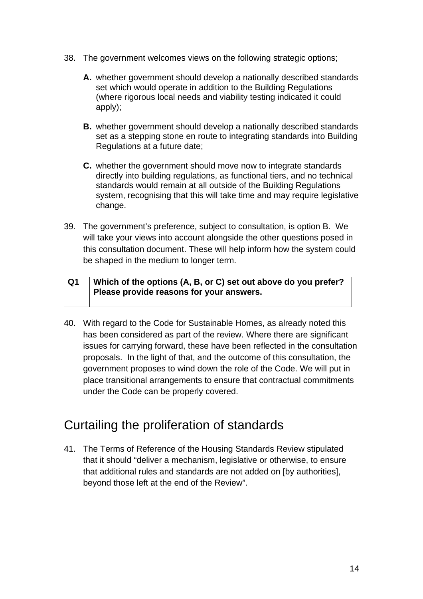- 38. The government welcomes views on the following strategic options;
	- **A.** whether government should develop a nationally described standards set which would operate in addition to the Building Regulations (where rigorous local needs and viability testing indicated it could apply);
	- **B.** whether government should develop a nationally described standards set as a stepping stone en route to integrating standards into Building Regulations at a future date;
	- **C.** whether the government should move now to integrate standards directly into building regulations, as functional tiers, and no technical standards would remain at all outside of the Building Regulations system, recognising that this will take time and may require legislative change.
- 39. The government's preference, subject to consultation, is option B. We will take your views into account alongside the other questions posed in this consultation document. These will help inform how the system could be shaped in the medium to longer term.

| Q1 | Which of the options (A, B, or C) set out above do you prefer? |
|----|----------------------------------------------------------------|
|    | Please provide reasons for your answers.                       |
|    |                                                                |

40. With regard to the Code for Sustainable Homes, as already noted this has been considered as part of the review. Where there are significant issues for carrying forward, these have been reflected in the consultation proposals. In the light of that, and the outcome of this consultation, the government proposes to wind down the role of the Code. We will put in place transitional arrangements to ensure that contractual commitments under the Code can be properly covered.

## Curtailing the proliferation of standards

41. The Terms of Reference of the [Housing Standards Review](https://www.gov.uk/government/news/independent-panel-to-help-government-cut-housebuilding-red-tape-and-boost-growth) stipulated that it should "deliver a mechanism, legislative or otherwise, to ensure that additional rules and standards are not added on [by authorities], beyond those left at the end of the Review".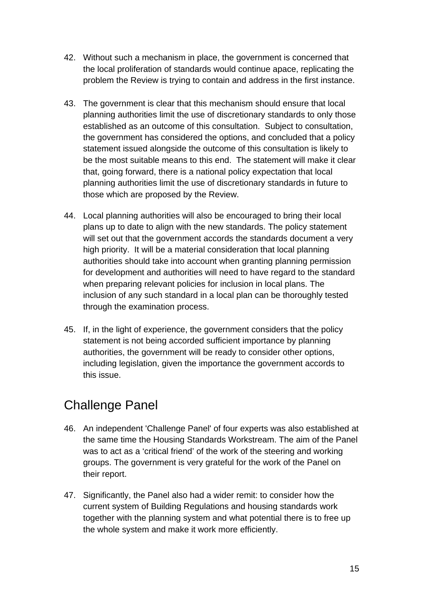- 42. Without such a mechanism in place, the government is concerned that the local proliferation of standards would continue apace, replicating the problem the Review is trying to contain and address in the first instance.
- 43. The government is clear that this mechanism should ensure that local planning authorities limit the use of discretionary standards to only those established as an outcome of this consultation. Subject to consultation, the government has considered the options, and concluded that a policy statement issued alongside the outcome of this consultation is likely to be the most suitable means to this end. The statement will make it clear that, going forward, there is a national policy expectation that local planning authorities limit the use of discretionary standards in future to those which are proposed by the Review.
- 44. Local planning authorities will also be encouraged to bring their local plans up to date to align with the new standards. The policy statement will set out that the government accords the standards document a very high priority. It will be a material consideration that local planning authorities should take into account when granting planning permission for development and authorities will need to have regard to the standard when preparing relevant policies for inclusion in local plans. The inclusion of any such standard in a local plan can be thoroughly tested through the examination process.
- 45. If, in the light of experience, the government considers that the policy statement is not being accorded sufficient importance by planning authorities, the government will be ready to consider other options, including legislation, given the importance the government accords to this issue.

# Challenge Panel

- 46. An independent 'Challenge Panel' of four experts was also established at the same time the Housing Standards Workstream. The aim of the Panel was to act as a 'critical friend' of the work of the steering and working groups. The government is very grateful for the work of the Panel on their report.
- 47. Significantly, the Panel also had a wider remit: to consider how the current system of Building Regulations and housing standards work together with the planning system and what potential there is to free up the whole system and make it work more efficiently.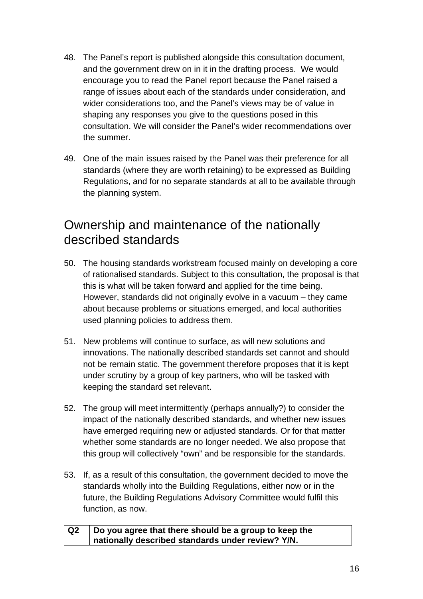- 48. The Panel's report is published alongside this consultation document, and the government drew on in it in the drafting process. We would encourage you to read the Panel report because the Panel raised a range of issues about each of the standards under consideration, and wider considerations too, and the Panel's views may be of value in shaping any responses you give to the questions posed in this consultation. We will consider the Panel's wider recommendations over the summer.
- 49. One of the main issues raised by the Panel was their preference for all standards (where they are worth retaining) to be expressed as Building Regulations, and for no separate standards at all to be available through the planning system.

### Ownership and maintenance of the nationally described standards

- 50. The housing standards workstream focused mainly on developing a core of rationalised standards. Subject to this consultation, the proposal is that this is what will be taken forward and applied for the time being. However, standards did not originally evolve in a vacuum – they came about because problems or situations emerged, and local authorities used planning policies to address them.
- 51. New problems will continue to surface, as will new solutions and innovations. The nationally described standards set cannot and should not be remain static. The government therefore proposes that it is kept under scrutiny by a group of key partners, who will be tasked with keeping the standard set relevant.
- 52. The group will meet intermittently (perhaps annually?) to consider the impact of the nationally described standards, and whether new issues have emerged requiring new or adjusted standards. Or for that matter whether some standards are no longer needed. We also propose that this group will collectively "own" and be responsible for the standards.
- 53. If, as a result of this consultation, the government decided to move the standards wholly into the Building Regulations, either now or in the future, the Building Regulations Advisory Committee would fulfil this function, as now.

| Q2 | Do you agree that there should be a group to keep the |
|----|-------------------------------------------------------|
|    | nationally described standards under review? Y/N.     |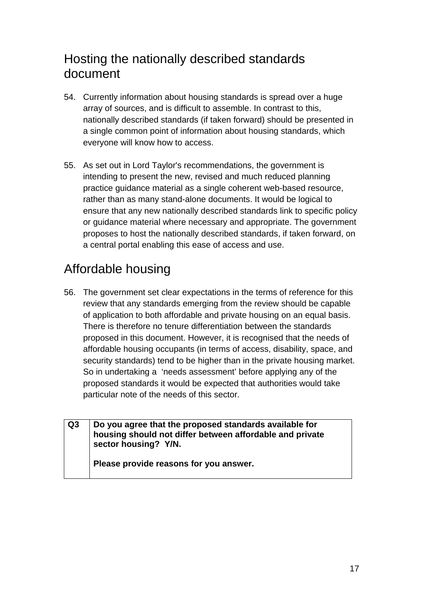# Hosting the nationally described standards document

- 54. Currently information about housing standards is spread over a huge array of sources, and is difficult to assemble. In contrast to this, nationally described standards (if taken forward) should be presented in a single common point of information about housing standards, which everyone will know how to access.
- 55. As set out in Lord Taylor's recommendations, the government is intending to present the new, revised and much reduced planning practice guidance material as a single coherent web-based resource, rather than as many stand-alone documents. It would be logical to ensure that any new nationally described standards link to specific policy or guidance material where necessary and appropriate. The government proposes to host the nationally described standards, if taken forward, on a central portal enabling this ease of access and use.

# Affordable housing

56. The government set clear expectations in the terms of reference for this review that any standards emerging from the review should be capable of application to both affordable and private housing on an equal basis. There is therefore no tenure differentiation between the standards proposed in this document. However, it is recognised that the needs of affordable housing occupants (in terms of access, disability, space, and security standards) tend to be higher than in the private housing market. So in undertaking a 'needs assessment' before applying any of the proposed standards it would be expected that authorities would take particular note of the needs of this sector.

| Q3 | Do you agree that the proposed standards available for<br>housing should not differ between affordable and private<br>sector housing? Y/N. |
|----|--------------------------------------------------------------------------------------------------------------------------------------------|
|    | Please provide reasons for you answer.                                                                                                     |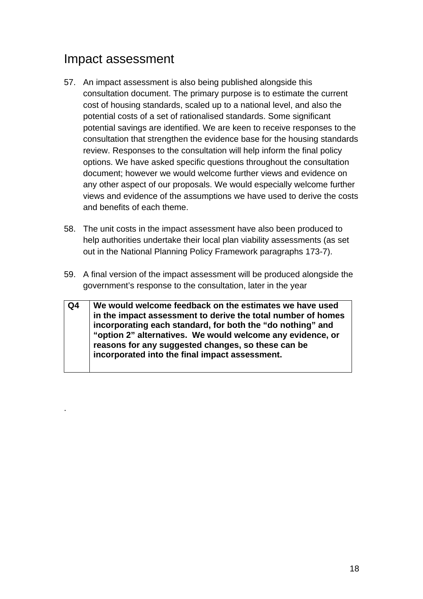## Impact assessment

.

- 57. An impact assessment is also being published alongside this consultation document. The primary purpose is to estimate the current cost of housing standards, scaled up to a national level, and also the potential costs of a set of rationalised standards. Some significant potential savings are identified. We are keen to receive responses to the consultation that strengthen the evidence base for the housing standards review. Responses to the consultation will help inform the final policy options. We have asked specific questions throughout the consultation document; however we would welcome further views and evidence on any other aspect of our proposals. We would especially welcome further views and evidence of the assumptions we have used to derive the costs and benefits of each theme.
- 58. The unit costs in the impact assessment have also been produced to help authorities undertake their local plan viability assessments (as set out in the National Planning Policy Framework paragraphs 173-7).
- 59. A final version of the impact assessment will be produced alongside the government's response to the consultation, later in the year
- **Q4 We would welcome feedback on the estimates we have used in the impact assessment to derive the total number of homes incorporating each standard, for both the "do nothing" and "option 2" alternatives. We would welcome any evidence, or reasons for any suggested changes, so these can be incorporated into the final impact assessment.**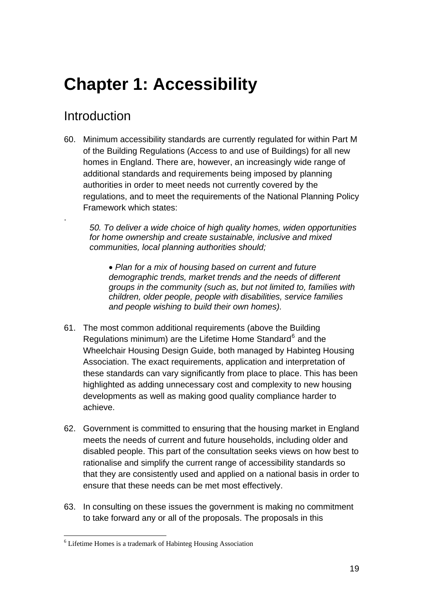# <span id="page-18-0"></span>**Chapter 1: Accessibility**

# Introduction

.

60. Minimum accessibility standards are currently regulated for within Part M of the Building Regulations (Access to and use of Buildings) for all new homes in England. There are, however, an increasingly wide range of additional standards and requirements being imposed by planning authorities in order to meet needs not currently covered by the regulations, and to meet the requirements of the National Planning Policy Framework which states:

*50. To deliver a wide choice of high quality homes, widen opportunities for home ownership and create sustainable, inclusive and mixed communities, local planning authorities should;* 

• *Plan for a mix of housing based on current and future demographic trends, market trends and the needs of different groups in the community (such as, but not limited to, families with children, older people, people with disabilities, service families and people wishing to build their own homes).* 

- 61. The most common additional requirements (above the Building Regulations minimum) are the Lifetime Home Standard<sup>[6](#page-18-0)</sup> and the Wheelchair Housing Design Guide, both managed by Habinteg Housing Association. The exact requirements, application and interpretation of these standards can vary significantly from place to place. This has been highlighted as adding unnecessary cost and complexity to new housing developments as well as making good quality compliance harder to achieve.
- 62. Government is committed to ensuring that the housing market in England meets the needs of current and future households, including older and disabled people. This part of the consultation seeks views on how best to rationalise and simplify the current range of accessibility standards so that they are consistently used and applied on a national basis in order to ensure that these needs can be met most effectively.
- 63. In consulting on these issues the government is making no commitment to take forward any or all of the proposals. The proposals in this

 6 Lifetime Homes is a trademark of Habinteg Housing Association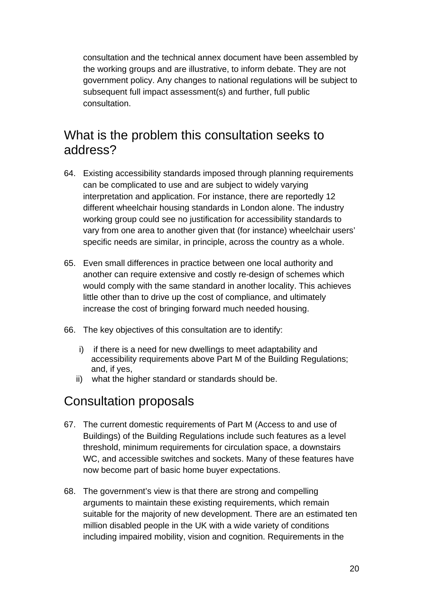consultation and the technical annex document have been assembled by the working groups and are illustrative, to inform debate. They are not government policy. Any changes to national regulations will be subject to subsequent full impact assessment(s) and further, full public consultation.

#### What is the problem this consultation seeks to address?

- 64. Existing accessibility standards imposed through planning requirements can be complicated to use and are subject to widely varying interpretation and application. For instance, there are reportedly 12 different wheelchair housing standards in London alone. The industry working group could see no justification for accessibility standards to vary from one area to another given that (for instance) wheelchair users' specific needs are similar, in principle, across the country as a whole.
- 65. Even small differences in practice between one local authority and another can require extensive and costly re-design of schemes which would comply with the same standard in another locality. This achieves little other than to drive up the cost of compliance, and ultimately increase the cost of bringing forward much needed housing.
- 66. The key objectives of this consultation are to identify:
	- i) if there is a need for new dwellings to meet adaptability and accessibility requirements above Part M of the Building Regulations; and, if yes,
	- ii) what the higher standard or standards should be.

#### Consultation proposals

- 67. The current domestic requirements of Part M (Access to and use of Buildings) of the Building Regulations include such features as a level threshold, minimum requirements for circulation space, a downstairs WC, and accessible switches and sockets. Many of these features have now become part of basic home buyer expectations.
- 68. The government's view is that there are strong and compelling arguments to maintain these existing requirements, which remain suitable for the majority of new development. There are an estimated ten million disabled people in the UK with a wide variety of conditions including impaired mobility, vision and cognition. Requirements in the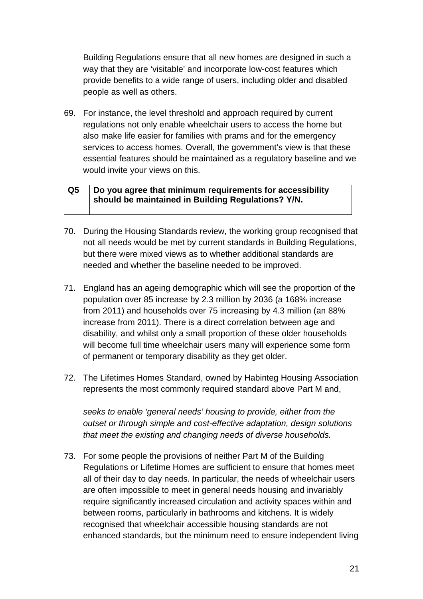Building Regulations ensure that all new homes are designed in such a way that they are 'visitable' and incorporate low-cost features which provide benefits to a wide range of users, including older and disabled people as well as others.

69. For instance, the level threshold and approach required by current regulations not only enable wheelchair users to access the home but also make life easier for families with prams and for the emergency services to access homes. Overall, the government's view is that these essential features should be maintained as a regulatory baseline and we would invite your views on this.

#### **Q5 Do you agree that minimum requirements for accessibility should be maintained in Building Regulations? Y/N.**

- 70. During the Housing Standards review, the working group recognised that not all needs would be met by current standards in Building Regulations, but there were mixed views as to whether additional standards are needed and whether the baseline needed to be improved.
- 71. England has an ageing demographic which will see the proportion of the population over 85 increase by 2.3 million by 2036 (a 168% increase from 2011) and households over 75 increasing by 4.3 million (an 88% increase from 2011). There is a direct correlation between age and disability, and whilst only a small proportion of these older households will become full time wheelchair users many will experience some form of permanent or temporary disability as they get older.
- 72. The Lifetimes Homes Standard, owned by Habinteg Housing Association represents the most commonly required standard above Part M and,

*seeks to enable 'general needs' housing to provide, either from the outset or through simple and cost-effective adaptation, design solutions that meet the existing and changing needs of diverse households.*

73. For some people the provisions of neither Part M of the Building Regulations or Lifetime Homes are sufficient to ensure that homes meet all of their day to day needs. In particular, the needs of wheelchair users are often impossible to meet in general needs housing and invariably require significantly increased circulation and activity spaces within and between rooms, particularly in bathrooms and kitchens. It is widely recognised that wheelchair accessible housing standards are not enhanced standards, but the minimum need to ensure independent living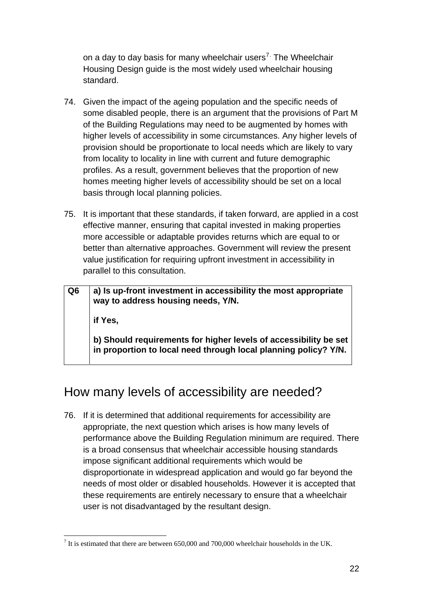on a day to day basis for many wheelchair users<sup>7.</sup> The Wheelchair Housing Design guide is the most widely used wheelchair housing standard.

- 74. Given the impact of the ageing population and the specific needs of some disabled people, there is an argument that the provisions of Part M of the Building Regulations may need to be augmented by homes with higher levels of accessibility in some circumstances. Any higher levels of provision should be proportionate to local needs which are likely to vary from locality to locality in line with current and future demographic profiles. As a result, government believes that the proportion of new homes meeting higher levels of accessibility should be set on a local basis through local planning policies.
- 75. It is important that these standards, if taken forward, are applied in a cost effective manner, ensuring that capital invested in making properties more accessible or adaptable provides returns which are equal to or better than alternative approaches. Government will review the present value justification for requiring upfront investment in accessibility in parallel to this consultation.

| Q <sub>6</sub> | a) Is up-front investment in accessibility the most appropriate<br>way to address housing needs, Y/N.                               |
|----------------|-------------------------------------------------------------------------------------------------------------------------------------|
|                | if Yes,                                                                                                                             |
|                | b) Should requirements for higher levels of accessibility be set<br>in proportion to local need through local planning policy? Y/N. |

# How many levels of accessibility are needed?

76. If it is determined that additional requirements for accessibility are appropriate, the next question which arises is how many levels of performance above the Building Regulation minimum are required. There is a broad consensus that wheelchair accessible housing standards impose significant additional requirements which would be disproportionate in widespread application and would go far beyond the needs of most older or disabled households. However it is accepted that these requirements are entirely necessary to ensure that a wheelchair user is not disadvantaged by the resultant design.

<sup>&</sup>lt;sup>7</sup> It is estimated that there are between 650,000 and 700,000 wheelchair households in the UK.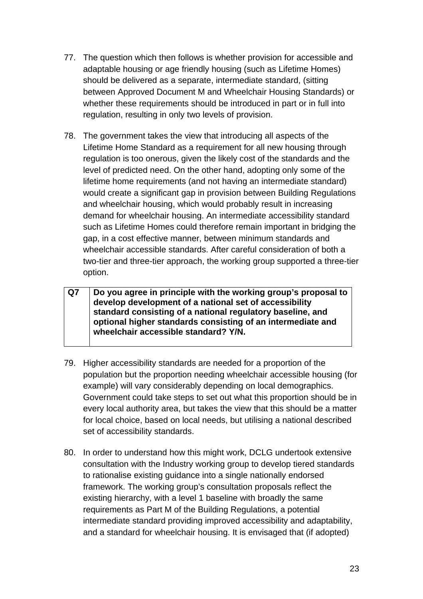- 77. The question which then follows is whether provision for accessible and adaptable housing or age friendly housing (such as Lifetime Homes) should be delivered as a separate, intermediate standard, (sitting between Approved Document M and Wheelchair Housing Standards) or whether these requirements should be introduced in part or in full into regulation, resulting in only two levels of provision.
- 78. The government takes the view that introducing all aspects of the Lifetime Home Standard as a requirement for all new housing through regulation is too onerous, given the likely cost of the standards and the level of predicted need. On the other hand, adopting only some of the lifetime home requirements (and not having an intermediate standard) would create a significant gap in provision between Building Regulations and wheelchair housing, which would probably result in increasing demand for wheelchair housing. An intermediate accessibility standard such as Lifetime Homes could therefore remain important in bridging the gap, in a cost effective manner, between minimum standards and wheelchair accessible standards. After careful consideration of both a two-tier and three-tier approach, the working group supported a three-tier option.

#### **Q7 Do you agree in principle with the working group's proposal to develop development of a national set of accessibility standard consisting of a national regulatory baseline, and optional higher standards consisting of an intermediate and wheelchair accessible standard? Y/N.**

- 79. Higher accessibility standards are needed for a proportion of the population but the proportion needing wheelchair accessible housing (for example) will vary considerably depending on local demographics. Government could take steps to set out what this proportion should be in every local authority area, but takes the view that this should be a matter for local choice, based on local needs, but utilising a national described set of accessibility standards.
- 80. In order to understand how this might work, DCLG undertook extensive consultation with the Industry working group to develop tiered standards to rationalise existing guidance into a single nationally endorsed framework. The working group's consultation proposals reflect the existing hierarchy, with a level 1 baseline with broadly the same requirements as Part M of the Building Regulations, a potential intermediate standard providing improved accessibility and adaptability, and a standard for wheelchair housing. It is envisaged that (if adopted)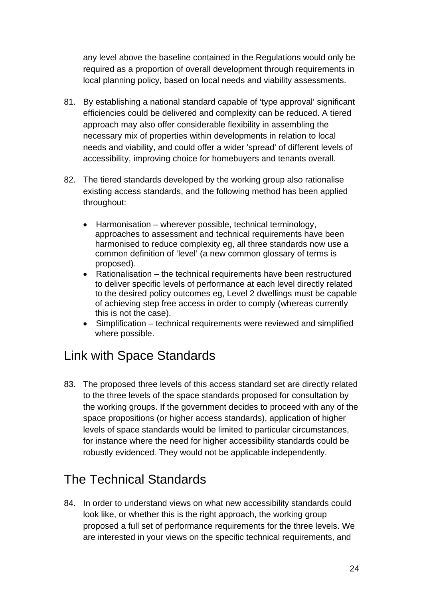any level above the baseline contained in the Regulations would only be required as a proportion of overall development through requirements in local planning policy, based on local needs and viability assessments.

- 81. By establishing a national standard capable of 'type approval' significant efficiencies could be delivered and complexity can be reduced. A tiered approach may also offer considerable flexibility in assembling the necessary mix of properties within developments in relation to local needs and viability, and could offer a wider 'spread' of different levels of accessibility, improving choice for homebuyers and tenants overall.
- 82. The tiered standards developed by the working group also rationalise existing access standards, and the following method has been applied throughout:
	- Harmonisation wherever possible, technical terminology, approaches to assessment and technical requirements have been harmonised to reduce complexity eg, all three standards now use a common definition of 'level' (a new common glossary of terms is proposed).
	- Rationalisation the technical requirements have been restructured to deliver specific levels of performance at each level directly related to the desired policy outcomes eg, Level 2 dwellings must be capable of achieving step free access in order to comply (whereas currently this is not the case).
	- Simplification technical requirements were reviewed and simplified where possible.

## Link with Space Standards

83. The proposed three levels of this access standard set are directly related to the three levels of the space standards proposed for consultation by the working groups. If the government decides to proceed with any of the space propositions (or higher access standards), application of higher levels of space standards would be limited to particular circumstances, for instance where the need for higher accessibility standards could be robustly evidenced. They would not be applicable independently.

# The Technical Standards

84. In order to understand views on what new accessibility standards could look like, or whether this is the right approach, the working group proposed a full set of performance requirements for the three levels. We are interested in your views on the specific technical requirements, and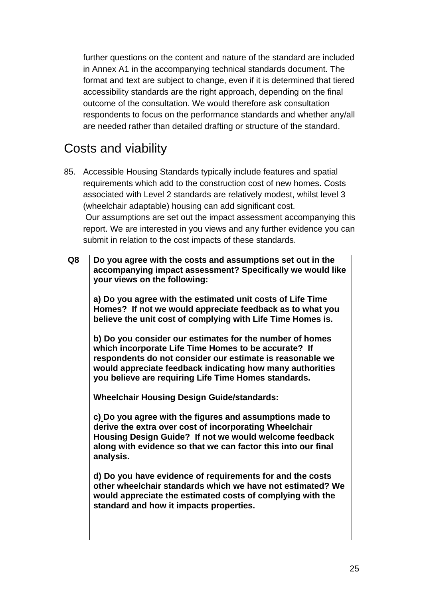further questions on the content and nature of the standard are included in Annex A1 in the accompanying technical standards document. The format and text are subject to change, even if it is determined that tiered accessibility standards are the right approach, depending on the final outcome of the consultation. We would therefore ask consultation respondents to focus on the performance standards and whether any/all are needed rather than detailed drafting or structure of the standard.

## Costs and viability

85. Accessible Housing Standards typically include features and spatial requirements which add to the construction cost of new homes. Costs associated with Level 2 standards are relatively modest, whilst level 3 (wheelchair adaptable) housing can add significant cost. Our assumptions are set out the impact assessment accompanying this report. We are interested in you views and any further evidence you can submit in relation to the cost impacts of these standards.

| Q8 | Do you agree with the costs and assumptions set out in the<br>accompanying impact assessment? Specifically we would like<br>your views on the following:                                                                                                                                           |
|----|----------------------------------------------------------------------------------------------------------------------------------------------------------------------------------------------------------------------------------------------------------------------------------------------------|
|    | a) Do you agree with the estimated unit costs of Life Time<br>Homes? If not we would appreciate feedback as to what you<br>believe the unit cost of complying with Life Time Homes is.                                                                                                             |
|    | b) Do you consider our estimates for the number of homes<br>which incorporate Life Time Homes to be accurate? If<br>respondents do not consider our estimate is reasonable we<br>would appreciate feedback indicating how many authorities<br>you believe are requiring Life Time Homes standards. |
|    | <b>Wheelchair Housing Design Guide/standards:</b>                                                                                                                                                                                                                                                  |
|    | c) Do you agree with the figures and assumptions made to<br>derive the extra over cost of incorporating Wheelchair<br>Housing Design Guide? If not we would welcome feedback<br>along with evidence so that we can factor this into our final<br>analysis.                                         |
|    | d) Do you have evidence of requirements for and the costs<br>other wheelchair standards which we have not estimated? We<br>would appreciate the estimated costs of complying with the<br>standard and how it impacts properties.                                                                   |
|    |                                                                                                                                                                                                                                                                                                    |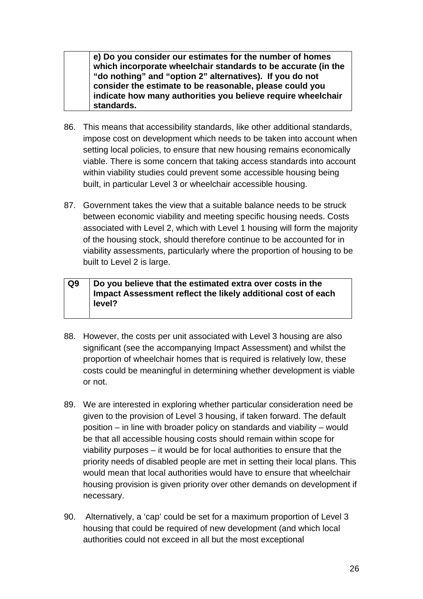**e) Do you consider our estimates for the number of homes which incorporate wheelchair standards to be accurate (in the "do nothing" and "option 2" alternatives). If you do not consider the estimate to be reasonable, please could you indicate how many authorities you believe require wheelchair standards.** 

- 86. This means that accessibility standards, like other additional standards, impose cost on development which needs to be taken into account when setting local policies, to ensure that new housing remains economically viable. There is some concern that taking access standards into account within viability studies could prevent some accessible housing being built, in particular Level 3 or wheelchair accessible housing.
- 87. Government takes the view that a suitable balance needs to be struck between economic viability and meeting specific housing needs. Costs associated with Level 2, which with Level 1 housing will form the majority of the housing stock, should therefore continue to be accounted for in viability assessments, particularly where the proportion of housing to be built to Level 2 is large.

#### **Q9 Do you believe that the estimated extra over costs in the Impact Assessment reflect the likely additional cost of each level?**

- 88. However, the costs per unit associated with Level 3 housing are also significant (see the accompanying Impact Assessment) and whilst the proportion of wheelchair homes that is required is relatively low, these costs could be meaningful in determining whether development is viable or not.
- 89. We are interested in exploring whether particular consideration need be given to the provision of Level 3 housing, if taken forward. The default position – in line with broader policy on standards and viability – would be that all accessible housing costs should remain within scope for viability purposes – it would be for local authorities to ensure that the priority needs of disabled people are met in setting their local plans. This would mean that local authorities would have to ensure that wheelchair housing provision is given priority over other demands on development if necessary.
- 90. Alternatively, a 'cap' could be set for a maximum proportion of Level 3 housing that could be required of new development (and which local authorities could not exceed in all but the most exceptional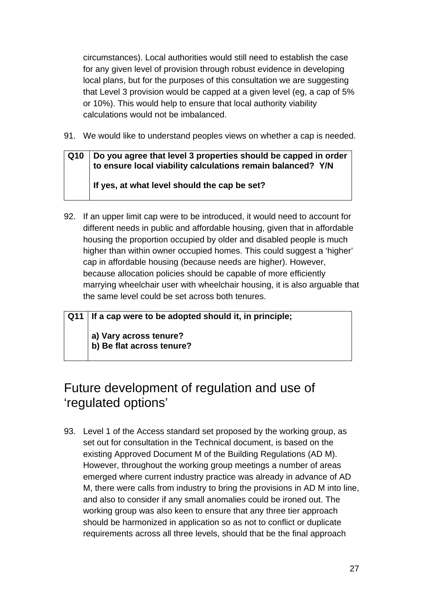circumstances). Local authorities would still need to establish the case for any given level of provision through robust evidence in developing local plans, but for the purposes of this consultation we are suggesting that Level 3 provision would be capped at a given level (eg, a cap of 5% or 10%). This would help to ensure that local authority viability calculations would not be imbalanced.

91. We would like to understand peoples views on whether a cap is needed.

#### **Q10 Do you agree that level 3 properties should be capped in order to ensure local viability calculations remain balanced? Y/N If yes, at what level should the cap be set?**

- 92. If an upper limit cap were to be introduced, it would need to account for different needs in public and affordable housing, given that in affordable housing the proportion occupied by older and disabled people is much higher than within owner occupied homes. This could suggest a 'higher' cap in affordable housing (because needs are higher). However, because allocation policies should be capable of more efficiently marrying wheelchair user with wheelchair housing, it is also arguable that the same level could be set across both tenures.
- **Q11 If a cap were to be adopted should it, in principle; a) Vary across tenure? b) Be flat across tenure?**

# Future development of regulation and use of 'regulated options'

93. Level 1 of the Access standard set proposed by the working group, as set out for consultation in the Technical document, is based on the existing Approved Document M of the Building Regulations (AD M). However, throughout the working group meetings a number of areas emerged where current industry practice was already in advance of AD M, there were calls from industry to bring the provisions in AD M into line, and also to consider if any small anomalies could be ironed out. The working group was also keen to ensure that any three tier approach should be harmonized in application so as not to conflict or duplicate requirements across all three levels, should that be the final approach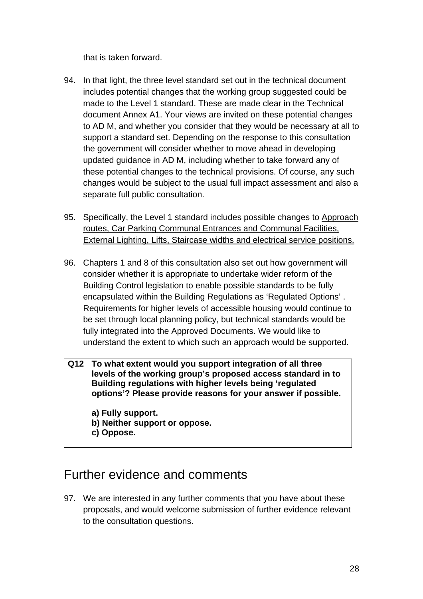that is taken forward.

- 94. In that light, the three level standard set out in the technical document includes potential changes that the working group suggested could be made to the Level 1 standard. These are made clear in the Technical document Annex A1. Your views are invited on these potential changes to AD M, and whether you consider that they would be necessary at all to support a standard set. Depending on the response to this consultation the government will consider whether to move ahead in developing updated guidance in AD M, including whether to take forward any of these potential changes to the technical provisions. Of course, any such changes would be subject to the usual full impact assessment and also a separate full public consultation.
- 95. Specifically, the Level 1 standard includes possible changes to Approach routes, Car Parking Communal Entrances and Communal Facilities, External Lighting, Lifts, Staircase widths and electrical service positions.
- 96. Chapters 1 and 8 of this consultation also set out how government will consider whether it is appropriate to undertake wider reform of the Building Control legislation to enable possible standards to be fully encapsulated within the Building Regulations as 'Regulated Options' . Requirements for higher levels of accessible housing would continue to be set through local planning policy, but technical standards would be fully integrated into the Approved Documents. We would like to understand the extent to which such an approach would be supported.
- **Q12 To what extent would you support integration of all three levels of the working group's proposed access standard in to Building regulations with higher levels being 'regulated options'? Please provide reasons for your answer if possible.**

**a) Fully support.** 

- **b) Neither support or oppose.**
- **c) Oppose.**

## Further evidence and comments

97. We are interested in any further comments that you have about these proposals, and would welcome submission of further evidence relevant to the consultation questions.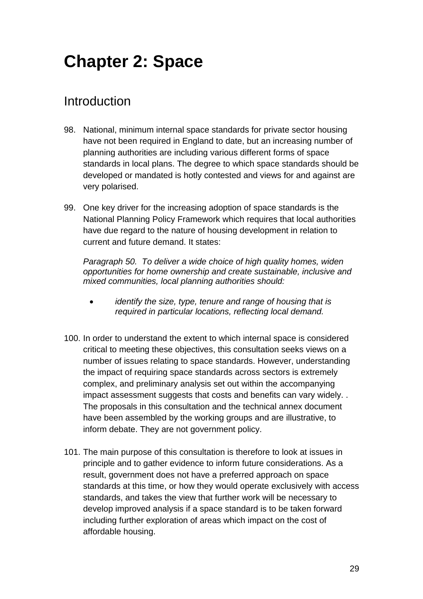# <span id="page-28-0"></span>**Chapter 2: Space**

## Introduction

- 98. National, minimum internal space standards for private sector housing have not been required in England to date, but an increasing number of planning authorities are including various different forms of space standards in local plans. The degree to which space standards should be developed or mandated is hotly contested and views for and against are very polarised.
- 99. One key driver for the increasing adoption of space standards is the National Planning Policy Framework which requires that local authorities have due regard to the nature of housing development in relation to current and future demand. It states:

*Paragraph 50. To deliver a wide choice of high quality homes, widen opportunities for home ownership and create sustainable, inclusive and mixed communities, local planning authorities should:* 

- *identify the size, type, tenure and range of housing that is required in particular locations, reflecting local demand.*
- 100. In order to understand the extent to which internal space is considered critical to meeting these objectives, this consultation seeks views on a number of issues relating to space standards. However, understanding the impact of requiring space standards across sectors is extremely complex, and preliminary analysis set out within the accompanying impact assessment suggests that costs and benefits can vary widely. . The proposals in this consultation and the technical annex document have been assembled by the working groups and are illustrative, to inform debate. They are not government policy.
- 101. The main purpose of this consultation is therefore to look at issues in principle and to gather evidence to inform future considerations. As a result, government does not have a preferred approach on space standards at this time, or how they would operate exclusively with access standards, and takes the view that further work will be necessary to develop improved analysis if a space standard is to be taken forward including further exploration of areas which impact on the cost of affordable housing.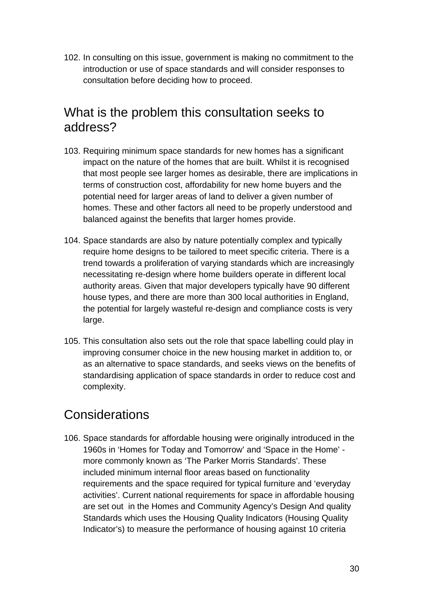102. In consulting on this issue, government is making no commitment to the introduction or use of space standards and will consider responses to consultation before deciding how to proceed.

#### What is the problem this consultation seeks to address?

- 103. Requiring minimum space standards for new homes has a significant impact on the nature of the homes that are built. Whilst it is recognised that most people see larger homes as desirable, there are implications in terms of construction cost, affordability for new home buyers and the potential need for larger areas of land to deliver a given number of homes. These and other factors all need to be properly understood and balanced against the benefits that larger homes provide.
- 104. Space standards are also by nature potentially complex and typically require home designs to be tailored to meet specific criteria. There is a trend towards a proliferation of varying standards which are increasingly necessitating re-design where home builders operate in different local authority areas. Given that major developers typically have 90 different house types, and there are more than 300 local authorities in England, the potential for largely wasteful re-design and compliance costs is very large.
- 105. This consultation also sets out the role that space labelling could play in improving consumer choice in the new housing market in addition to, or as an alternative to space standards, and seeks views on the benefits of standardising application of space standards in order to reduce cost and complexity.

## **Considerations**

106. Space standards for affordable housing were originally introduced in the 1960s in 'Homes for Today and Tomorrow' and 'Space in the Home' more commonly known as 'The Parker Morris Standards'. These included minimum internal floor areas based on functionality requirements and the space required for typical furniture and 'everyday activities'. Current national requirements for space in affordable housing are set out in the Homes and Community Agency's Design And quality Standards which uses the Housing Quality Indicators (Housing Quality Indicator's) to measure the performance of housing against 10 criteria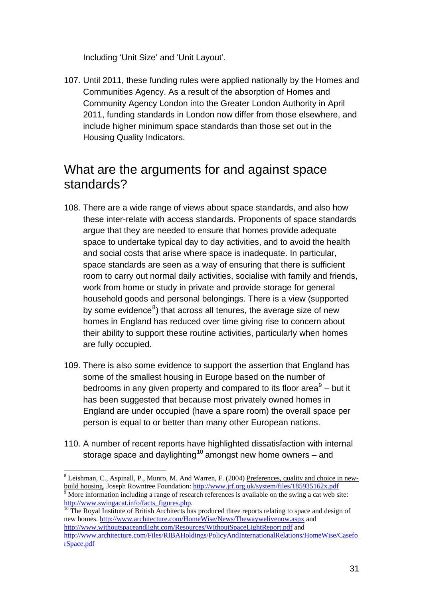<span id="page-30-0"></span>Including 'Unit Size' and 'Unit Layout'.

107. Until 2011, these funding rules were applied nationally by the Homes and Communities Agency. As a result of the absorption of Homes and Community Agency London into the Greater London Authority in April 2011, funding standards in London now differ from those elsewhere, and include higher minimum space standards than those set out in the Housing Quality Indicators.

#### What are the arguments for and against space standards?

- 108. There are a wide range of views about space standards, and also how these inter-relate with access standards. Proponents of space standards argue that they are needed to ensure that homes provide adequate space to undertake typical day to day activities, and to avoid the health and social costs that arise where space is inadequate. In particular, space standards are seen as a way of ensuring that there is sufficient room to carry out normal daily activities, socialise with family and friends, work from home or study in private and provide storage for general household goods and personal belongings. There is a view (supported by some evidence $^8$  $^8$ ) that across all tenures, the average size of new homes in England has reduced over time giving rise to concern about their ability to support these routine activities, particularly when homes are fully occupied.
- 109. There is also some evidence to support the assertion that England has some of the smallest housing in Europe based on the number of bedrooms in any given property and compared to its floor area $9$  – but it has been suggested that because most privately owned homes in England are under occupied (have a spare room) the overall space per person is equal to or better than many other European nations.
- 110. A number of recent reports have highlighted dissatisfaction with internal storage space and daylighting<sup>[10](#page-30-0)</sup> amongst new home owners – and

 $\overline{a}$ 

new homes.<http://www.architecture.com/HomeWise/News/Thewaywelivenow.aspx> and <http://www.withoutspaceandlight.com/Resources/WithoutSpaceLightReport.pdf> and [http://www.architecture.com/Files/RIBAHoldings/PolicyAndInternationalRelations/HomeWise/Casefo](http://www.architecture.com/Files/RIBAHoldings/PolicyAndInternationalRelations/HomeWise/CaseforSpace.pdf) [rSpace.pdf](http://www.architecture.com/Files/RIBAHoldings/PolicyAndInternationalRelations/HomeWise/CaseforSpace.pdf)

<sup>&</sup>lt;sup>8</sup> Leishman, C., Aspinall, P., Munro, M. And Warren, F. (2004) Preferences, quality and choice in newbuild housing, Joseph Rowntree Foundation: <http://www.jrf.org.uk/system/files/185935162x.pdf>

 $\frac{1}{9}$  More information including a range of research references is available on the swing a cat web site:  $\frac{http://www.swingacat.info/facts~figures.php.}_{10}$  $\frac{http://www.swingacat.info/facts~figures.php.}_{10}$  $\frac{http://www.swingacat.info/facts~figures.php.}_{10}$  The Royal Institute of British Architects has produced three reports relating to space and design of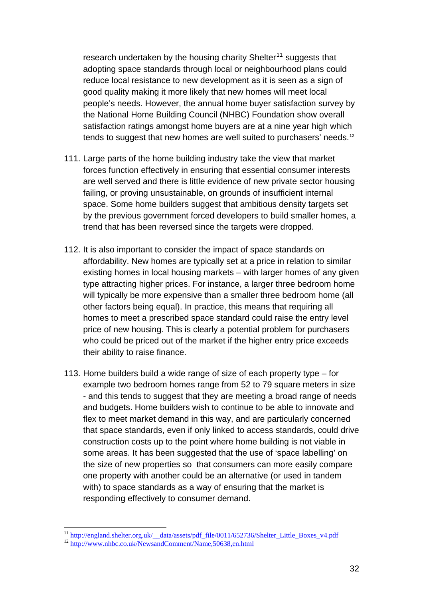research undertaken by the housing charity Shelter<sup>11</sup> suggests that adopting space standards through local or neighbourhood plans could reduce local resistance to new development as it is seen as a sign of good quality making it more likely that new homes will meet local people's needs. However, the annual home buyer satisfaction survey by the National Home Building Council (NHBC) Foundation show overall satisfaction ratings amongst home buyers are at a nine year high which tends to suggest that new homes are well suited to purchasers' needs.<sup>12</sup>

- 111. Large parts of the home building industry take the view that market forces function effectively in ensuring that essential consumer interests are well served and there is little evidence of new private sector housing failing, or proving unsustainable, on grounds of insufficient internal space. Some home builders suggest that ambitious density targets set by the previous government forced developers to build smaller homes, a trend that has been reversed since the targets were dropped.
- 112. It is also important to consider the impact of space standards on affordability. New homes are typically set at a price in relation to similar existing homes in local housing markets – with larger homes of any given type attracting higher prices. For instance, a larger three bedroom home will typically be more expensive than a smaller three bedroom home (all other factors being equal). In practice, this means that requiring all homes to meet a prescribed space standard could raise the entry level price of new housing. This is clearly a potential problem for purchasers who could be priced out of the market if the higher entry price exceeds their ability to raise finance.
- 113. Home builders build a wide range of size of each property type for example two bedroom homes range from 52 to 79 square meters in size - and this tends to suggest that they are meeting a broad range of needs and budgets. Home builders wish to continue to be able to innovate and flex to meet market demand in this way, and are particularly concerned that space standards, even if only linked to access standards, could drive construction costs up to the point where home building is not viable in some areas. It has been suggested that the use of 'space labelling' on the size of new properties so that consumers can more easily compare one property with another could be an alternative (or used in tandem with) to space standards as a way of ensuring that the market is responding effectively to consumer demand.

 $\overline{a}$ 

<sup>&</sup>lt;sup>11</sup> [http://england.shelter.org.uk/\\_\\_data/assets/pdf\\_file/0011/652736/Shelter\\_Little\\_Boxes\\_v4.pdf](http://england.shelter.org.uk/__data/assets/pdf_file/0011/652736/Shelter_Little_Boxes_v4.pdf) 12 <http://www.nhbc.co.uk/NewsandComment/Name,50638,en.html>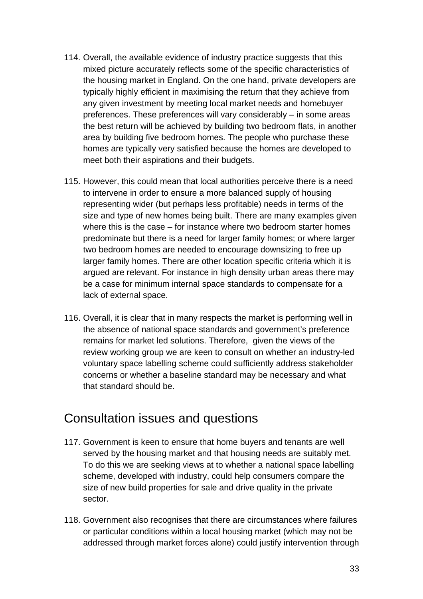- 114. Overall, the available evidence of industry practice suggests that this mixed picture accurately reflects some of the specific characteristics of the housing market in England. On the one hand, private developers are typically highly efficient in maximising the return that they achieve from any given investment by meeting local market needs and homebuyer preferences. These preferences will vary considerably – in some areas the best return will be achieved by building two bedroom flats, in another area by building five bedroom homes. The people who purchase these homes are typically very satisfied because the homes are developed to meet both their aspirations and their budgets.
- 115. However, this could mean that local authorities perceive there is a need to intervene in order to ensure a more balanced supply of housing representing wider (but perhaps less profitable) needs in terms of the size and type of new homes being built. There are many examples given where this is the case – for instance where two bedroom starter homes predominate but there is a need for larger family homes; or where larger two bedroom homes are needed to encourage downsizing to free up larger family homes. There are other location specific criteria which it is argued are relevant. For instance in high density urban areas there may be a case for minimum internal space standards to compensate for a lack of external space.
- 116. Overall, it is clear that in many respects the market is performing well in the absence of national space standards and government's preference remains for market led solutions. Therefore, given the views of the review working group we are keen to consult on whether an industry-led voluntary space labelling scheme could sufficiently address stakeholder concerns or whether a baseline standard may be necessary and what that standard should be.

#### Consultation issues and questions

- 117. Government is keen to ensure that home buyers and tenants are well served by the housing market and that housing needs are suitably met. To do this we are seeking views at to whether a national space labelling scheme, developed with industry, could help consumers compare the size of new build properties for sale and drive quality in the private sector.
- 118. Government also recognises that there are circumstances where failures or particular conditions within a local housing market (which may not be addressed through market forces alone) could justify intervention through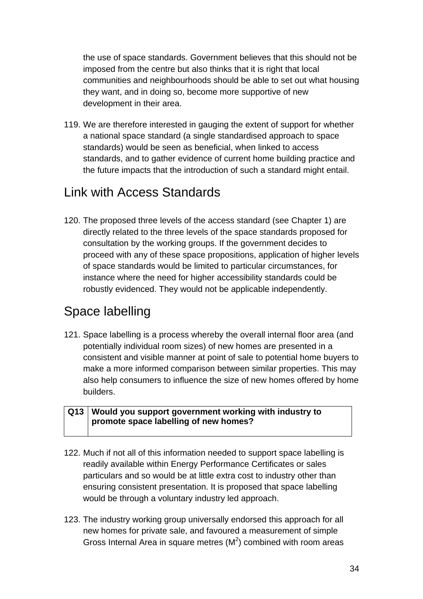the use of space standards. Government believes that this should not be imposed from the centre but also thinks that it is right that local communities and neighbourhoods should be able to set out what housing they want, and in doing so, become more supportive of new development in their area.

119. We are therefore interested in gauging the extent of support for whether a national space standard (a single standardised approach to space standards) would be seen as beneficial, when linked to access standards, and to gather evidence of current home building practice and the future impacts that the introduction of such a standard might entail.

#### Link with Access Standards

120. The proposed three levels of the access standard (see Chapter 1) are directly related to the three levels of the space standards proposed for consultation by the working groups. If the government decides to proceed with any of these space propositions, application of higher levels of space standards would be limited to particular circumstances, for instance where the need for higher accessibility standards could be robustly evidenced. They would not be applicable independently.

# Space labelling

121. Space labelling is a process whereby the overall internal floor area (and potentially individual room sizes) of new homes are presented in a consistent and visible manner at point of sale to potential home buyers to make a more informed comparison between similar properties. This may also help consumers to influence the size of new homes offered by home builders.

#### **Q13 Would you support government working with industry to promote space labelling of new homes?**

- 122. Much if not all of this information needed to support space labelling is readily available within Energy Performance Certificates or sales particulars and so would be at little extra cost to industry other than ensuring consistent presentation. It is proposed that space labelling would be through a voluntary industry led approach.
- 123. The industry working group universally endorsed this approach for all new homes for private sale, and favoured a measurement of simple Gross Internal Area in square metres  $(M^2)$  combined with room areas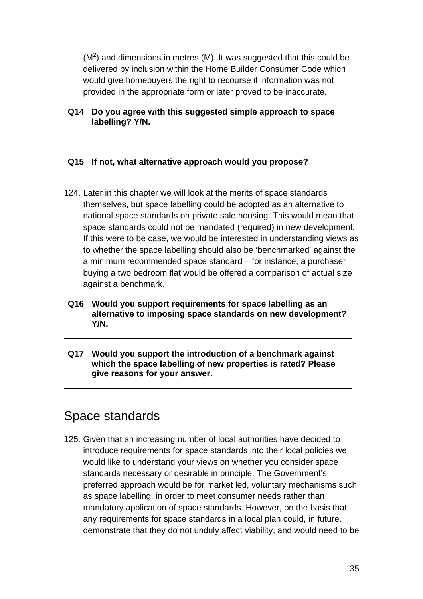$(M<sup>2</sup>)$  and dimensions in metres (M). It was suggested that this could be delivered by inclusion within the Home Builder Consumer Code which would give homebuyers the right to recourse if information was not provided in the appropriate form or later proved to be inaccurate.

#### **Q14 Do you agree with this suggested simple approach to space labelling? Y/N.**

#### **Q15 If not, what alternative approach would you propose?**

124. Later in this chapter we will look at the merits of space standards themselves, but space labelling could be adopted as an alternative to national space standards on private sale housing. This would mean that space standards could not be mandated (required) in new development. If this were to be case, we would be interested in understanding views as to whether the space labelling should also be 'benchmarked' against the a minimum recommended space standard – for instance, a purchaser buying a two bedroom flat would be offered a comparison of actual size against a benchmark.

#### **Q16 Would you support requirements for space labelling as an alternative to imposing space standards on new development? Y/N.**

**Q17 Would you support the introduction of a benchmark against which the space labelling of new properties is rated? Please give reasons for your answer.** 

#### Space standards

125. Given that an increasing number of local authorities have decided to introduce requirements for space standards into their local policies we would like to understand your views on whether you consider space standards necessary or desirable in principle. The Government's preferred approach would be for market led, voluntary mechanisms such as space labelling, in order to meet consumer needs rather than mandatory application of space standards. However, on the basis that any requirements for space standards in a local plan could, in future, demonstrate that they do not unduly affect viability, and would need to be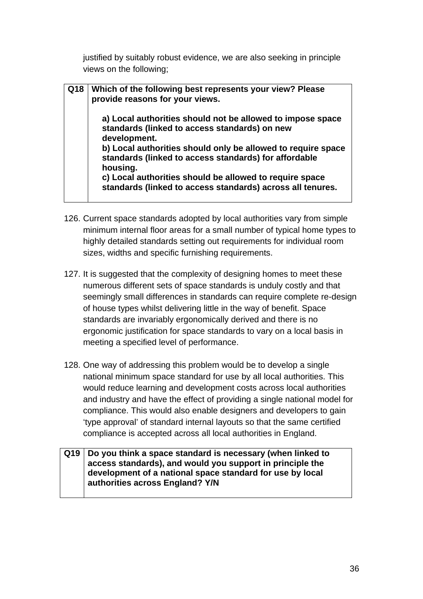justified by suitably robust evidence, we are also seeking in principle views on the following;

| Q18   Which of the following best represents your view? Please<br>provide reasons for your views.                                 |
|-----------------------------------------------------------------------------------------------------------------------------------|
| a) Local authorities should not be allowed to impose space<br>standards (linked to access standards) on new<br>development.       |
| b) Local authorities should only be allowed to require space<br>standards (linked to access standards) for affordable<br>housing. |
| c) Local authorities should be allowed to require space<br>standards (linked to access standards) across all tenures.             |

- 126. Current space standards adopted by local authorities vary from simple minimum internal floor areas for a small number of typical home types to highly detailed standards setting out requirements for individual room sizes, widths and specific furnishing requirements.
- 127. It is suggested that the complexity of designing homes to meet these numerous different sets of space standards is unduly costly and that seemingly small differences in standards can require complete re-design of house types whilst delivering little in the way of benefit. Space standards are invariably ergonomically derived and there is no ergonomic justification for space standards to vary on a local basis in meeting a specified level of performance.
- 128. One way of addressing this problem would be to develop a single national minimum space standard for use by all local authorities. This would reduce learning and development costs across local authorities and industry and have the effect of providing a single national model for compliance. This would also enable designers and developers to gain 'type approval' of standard internal layouts so that the same certified compliance is accepted across all local authorities in England.

#### **Q19 Do you think a space standard is necessary (when linked to access standards), and would you support in principle the development of a national space standard for use by local authorities across England? Y/N**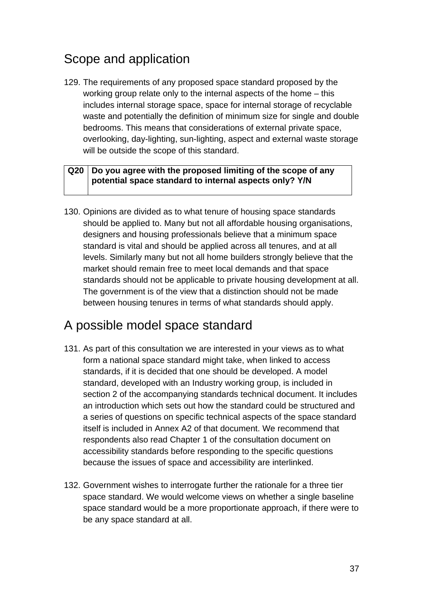# Scope and application

129. The requirements of any proposed space standard proposed by the working group relate only to the internal aspects of the home – this includes internal storage space, space for internal storage of recyclable waste and potentially the definition of minimum size for single and double bedrooms. This means that considerations of external private space, overlooking, day-lighting, sun-lighting, aspect and external waste storage will be outside the scope of this standard.

#### **Q20 Do you agree with the proposed limiting of the scope of any potential space standard to internal aspects only? Y/N**

130. Opinions are divided as to what tenure of housing space standards should be applied to. Many but not all affordable housing organisations, designers and housing professionals believe that a minimum space standard is vital and should be applied across all tenures, and at all levels. Similarly many but not all home builders strongly believe that the market should remain free to meet local demands and that space standards should not be applicable to private housing development at all. The government is of the view that a distinction should not be made between housing tenures in terms of what standards should apply.

### A possible model space standard

- 131. As part of this consultation we are interested in your views as to what form a national space standard might take, when linked to access standards, if it is decided that one should be developed. A model standard, developed with an Industry working group, is included in section 2 of the accompanying standards technical document. It includes an introduction which sets out how the standard could be structured and a series of questions on specific technical aspects of the space standard itself is included in Annex A2 of that document. We recommend that respondents also read Chapter 1 of the consultation document on accessibility standards before responding to the specific questions because the issues of space and accessibility are interlinked.
- 132. Government wishes to interrogate further the rationale for a three tier space standard. We would welcome views on whether a single baseline space standard would be a more proportionate approach, if there were to be any space standard at all.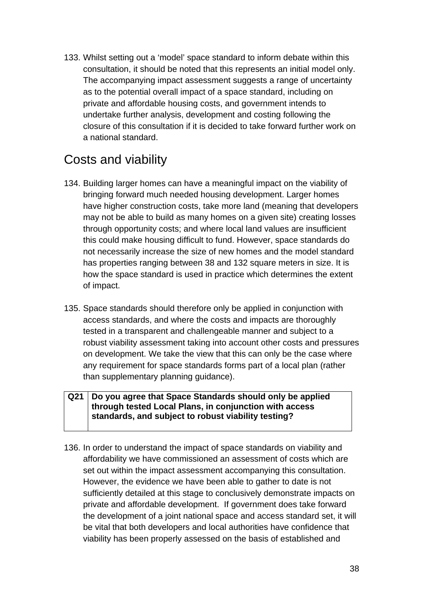133. Whilst setting out a 'model' space standard to inform debate within this consultation, it should be noted that this represents an initial model only. The accompanying impact assessment suggests a range of uncertainty as to the potential overall impact of a space standard, including on private and affordable housing costs, and government intends to undertake further analysis, development and costing following the closure of this consultation if it is decided to take forward further work on a national standard.

### Costs and viability

- 134. Building larger homes can have a meaningful impact on the viability of bringing forward much needed housing development. Larger homes have higher construction costs, take more land (meaning that developers may not be able to build as many homes on a given site) creating losses through opportunity costs; and where local land values are insufficient this could make housing difficult to fund. However, space standards do not necessarily increase the size of new homes and the model standard has properties ranging between 38 and 132 square meters in size. It is how the space standard is used in practice which determines the extent of impact.
- 135. Space standards should therefore only be applied in conjunction with access standards, and where the costs and impacts are thoroughly tested in a transparent and challengeable manner and subject to a robust viability assessment taking into account other costs and pressures on development. We take the view that this can only be the case where any requirement for space standards forms part of a local plan (rather than supplementary planning guidance).

#### **Q21 Do you agree that Space Standards should only be applied through tested Local Plans, in conjunction with access standards, and subject to robust viability testing?**

136. In order to understand the impact of space standards on viability and affordability we have commissioned an assessment of costs which are set out within the impact assessment accompanying this consultation. However, the evidence we have been able to gather to date is not sufficiently detailed at this stage to conclusively demonstrate impacts on private and affordable development. If government does take forward the development of a joint national space and access standard set, it will be vital that both developers and local authorities have confidence that viability has been properly assessed on the basis of established and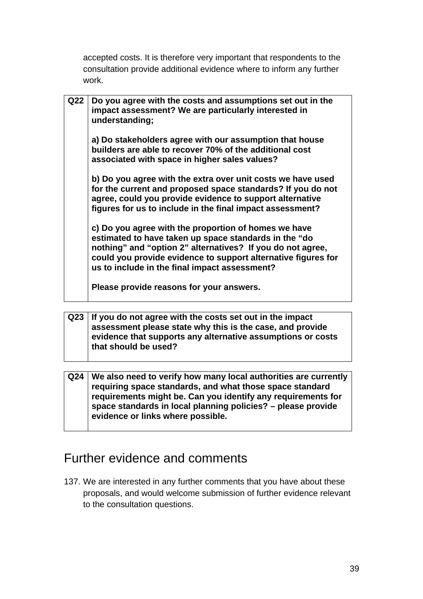accepted costs. It is therefore very important that respondents to the consultation provide additional evidence where to inform any further work.

| Q22 | Do you agree with the costs and assumptions set out in the<br>impact assessment? We are particularly interested in<br>understanding;                                                                                                                                                          |
|-----|-----------------------------------------------------------------------------------------------------------------------------------------------------------------------------------------------------------------------------------------------------------------------------------------------|
|     | a) Do stakeholders agree with our assumption that house<br>builders are able to recover 70% of the additional cost<br>associated with space in higher sales values?                                                                                                                           |
|     | b) Do you agree with the extra over unit costs we have used<br>for the current and proposed space standards? If you do not<br>agree, could you provide evidence to support alternative<br>figures for us to include in the final impact assessment?                                           |
|     | c) Do you agree with the proportion of homes we have<br>estimated to have taken up space standards in the "do<br>nothing" and "option 2" alternatives? If you do not agree,<br>could you provide evidence to support alternative figures for<br>us to include in the final impact assessment? |
|     | Please provide reasons for your answers.                                                                                                                                                                                                                                                      |

|  | $Q23$ If you do not agree with the costs set out in the impact |
|--|----------------------------------------------------------------|
|  | assessment please state why this is the case, and provide      |
|  | evidence that supports any alternative assumptions or costs    |
|  | that should be used?                                           |

| Q24   We also need to verify how many local authorities are currently |
|-----------------------------------------------------------------------|
| requiring space standards, and what those space standard              |
| requirements might be. Can you identify any requirements for          |
| space standards in local planning policies? - please provide          |
| evidence or links where possible.                                     |

## Further evidence and comments

137. We are interested in any further comments that you have about these proposals, and would welcome submission of further evidence relevant to the consultation questions.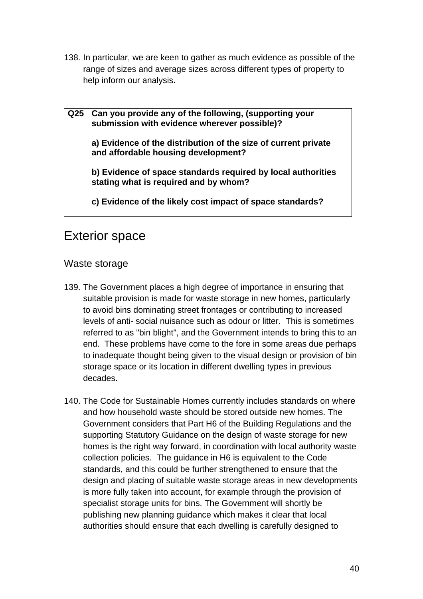138. In particular, we are keen to gather as much evidence as possible of the range of sizes and average sizes across different types of property to help inform our analysis.

**Q25 Can you provide any of the following, (supporting your submission with evidence wherever possible)?** 

**a) Evidence of the distribution of the size of current private and affordable housing development?** 

**b) Evidence of space standards required by local authorities stating what is required and by whom?** 

**c) Evidence of the likely cost impact of space standards?** 

### Exterior space

### Waste storage

- 139. The Government places a high degree of importance in ensuring that suitable provision is made for waste storage in new homes, particularly to avoid bins dominating street frontages or contributing to increased levels of anti- social nuisance such as odour or litter. This is sometimes referred to as "bin blight", and the Government intends to bring this to an end. These problems have come to the fore in some areas due perhaps to inadequate thought being given to the visual design or provision of bin storage space or its location in different dwelling types in previous decades.
- 140. The Code for Sustainable Homes currently includes standards on where and how household waste should be stored outside new homes. The Government considers that Part H6 of the Building Regulations and the supporting Statutory Guidance on the design of waste storage for new homes is the right way forward, in coordination with local authority waste collection policies. The guidance in H6 is equivalent to the Code standards, and this could be further strengthened to ensure that the design and placing of suitable waste storage areas in new developments is more fully taken into account, for example through the provision of specialist storage units for bins. The Government will shortly be publishing new planning guidance which makes it clear that local authorities should ensure that each dwelling is carefully designed to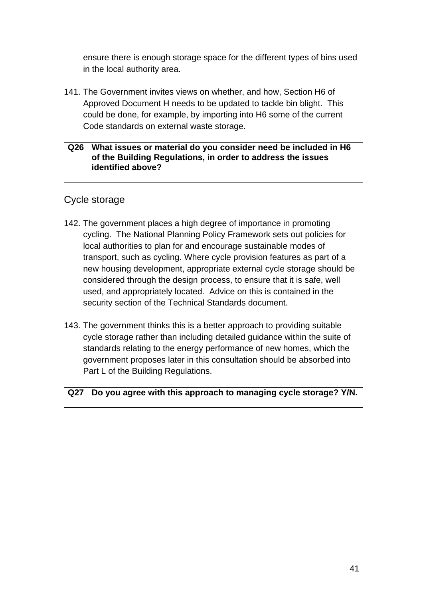ensure there is enough storage space for the different types of bins used in the local authority area.

141. The Government invites views on whether, and how, Section H6 of Approved Document H needs to be updated to tackle bin blight. This could be done, for example, by importing into H6 some of the current Code standards on external waste storage.

#### **Q26 What issues or material do you consider need be included in H6 of the Building Regulations, in order to address the issues identified above?**

#### Cycle storage

- 142. The government places a high degree of importance in promoting cycling. The National Planning Policy Framework sets out policies for local authorities to plan for and encourage sustainable modes of transport, such as cycling. Where cycle provision features as part of a new housing development, appropriate external cycle storage should be considered through the design process, to ensure that it is safe, well used, and appropriately located. Advice on this is contained in the security section of the Technical Standards document.
- 143. The government thinks this is a better approach to providing suitable cycle storage rather than including detailed guidance within the suite of standards relating to the energy performance of new homes, which the government proposes later in this consultation should be absorbed into Part L of the Building Regulations.

### **Q27 Do you agree with this approach to managing cycle storage? Y/N.**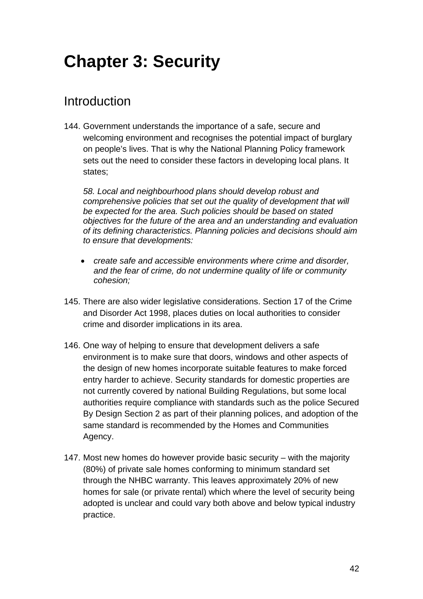# **Chapter 3: Security**

## Introduction

144. Government understands the importance of a safe, secure and welcoming environment and recognises the potential impact of burglary on people's lives. That is why the National Planning Policy framework sets out the need to consider these factors in developing local plans. It states;

*58. Local and neighbourhood plans should develop robust and comprehensive policies that set out the quality of development that will be expected for the area. Such policies should be based on stated objectives for the future of the area and an understanding and evaluation of its defining characteristics. Planning policies and decisions should aim to ensure that developments:* 

- *create safe and accessible environments where crime and disorder, and the fear of crime, do not undermine quality of life or community cohesion;*
- 145. There are also wider legislative considerations. Section 17 of the Crime and Disorder Act 1998, places duties on local authorities to consider crime and disorder implications in its area.
- 146. One way of helping to ensure that development delivers a safe environment is to make sure that doors, windows and other aspects of the design of new homes incorporate suitable features to make forced entry harder to achieve. Security standards for domestic properties are not currently covered by national Building Regulations, but some local authorities require compliance with standards such as the police Secured By Design Section 2 as part of their planning polices, and adoption of the same standard is recommended by the Homes and Communities Agency.
- 147. Most new homes do however provide basic security with the majority (80%) of private sale homes conforming to minimum standard set through the NHBC warranty. This leaves approximately 20% of new homes for sale (or private rental) which where the level of security being adopted is unclear and could vary both above and below typical industry practice.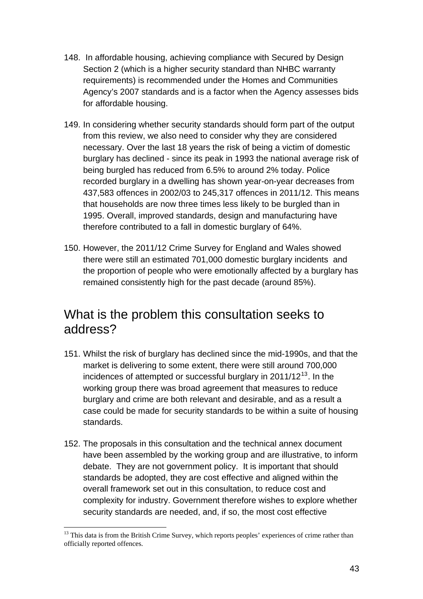- <span id="page-42-0"></span>148. In affordable housing, achieving compliance with Secured by Design Section 2 (which is a higher security standard than NHBC warranty requirements) is recommended under the Homes and Communities Agency's 2007 standards and is a factor when the Agency assesses bids for affordable housing.
- 149. In considering whether security standards should form part of the output from this review, we also need to consider why they are considered necessary. Over the last 18 years the risk of being a victim of domestic burglary has declined - since its peak in 1993 the national average risk of being burgled has reduced from 6.5% to around 2% today. Police recorded burglary in a dwelling has shown year-on-year decreases from 437,583 offences in 2002/03 to 245,317 offences in 2011/12. This means that households are now three times less likely to be burgled than in 1995. Overall, improved standards, design and manufacturing have therefore contributed to a fall in domestic burglary of 64%.
- 150. However, the 2011/12 Crime Survey for England and Wales showed there were still an estimated 701,000 domestic burglary incidents and the proportion of people who were emotionally affected by a burglary has remained consistently high for the past decade (around 85%).

### What is the problem this consultation seeks to address?

- 151. Whilst the risk of burglary has declined since the mid-1990s, and that the market is delivering to some extent, there were still around 700,000 incidences of attempted or successful burglary in  $2011/12^{13}$  $2011/12^{13}$  $2011/12^{13}$ . In the working group there was broad agreement that measures to reduce burglary and crime are both relevant and desirable, and as a result a case could be made for security standards to be within a suite of housing standards.
- 152. The proposals in this consultation and the technical annex document have been assembled by the working group and are illustrative, to inform debate. They are not government policy. It is important that should standards be adopted, they are cost effective and aligned within the overall framework set out in this consultation, to reduce cost and complexity for industry. Government therefore wishes to explore whether security standards are needed, and, if so, the most cost effective

 $\overline{a}$ <sup>13</sup> This data is from the British Crime Survey, which reports peoples' experiences of crime rather than officially reported offences.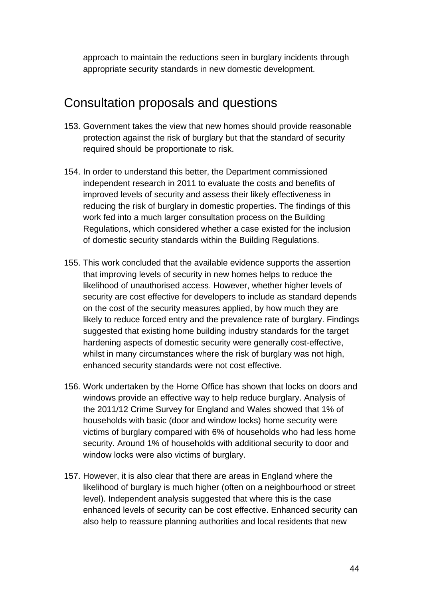approach to maintain the reductions seen in burglary incidents through appropriate security standards in new domestic development.

### Consultation proposals and questions

- 153. Government takes the view that new homes should provide reasonable protection against the risk of burglary but that the standard of security required should be proportionate to risk.
- 154. In order to understand this better, the Department commissioned independent research in 2011 to evaluate the costs and benefits of improved levels of security and assess their likely effectiveness in reducing the risk of burglary in domestic properties. The findings of this work fed into a much larger consultation process on the Building Regulations, which considered whether a case existed for the inclusion of domestic security standards within the Building Regulations.
- 155. This work concluded that the available evidence supports the assertion that improving levels of security in new homes helps to reduce the likelihood of unauthorised access. However, whether higher levels of security are cost effective for developers to include as standard depends on the cost of the security measures applied, by how much they are likely to reduce forced entry and the prevalence rate of burglary. Findings suggested that existing home building industry standards for the target hardening aspects of domestic security were generally cost-effective, whilst in many circumstances where the risk of burglary was not high, enhanced security standards were not cost effective.
- 156. Work undertaken by the Home Office has shown that locks on doors and windows provide an effective way to help reduce burglary. Analysis of the 2011/12 Crime Survey for England and Wales showed that 1% of households with basic (door and window locks) home security were victims of burglary compared with 6% of households who had less home security. Around 1% of households with additional security to door and window locks were also victims of burglary.
- 157. However, it is also clear that there are areas in England where the likelihood of burglary is much higher (often on a neighbourhood or street level). Independent analysis suggested that where this is the case enhanced levels of security can be cost effective. Enhanced security can also help to reassure planning authorities and local residents that new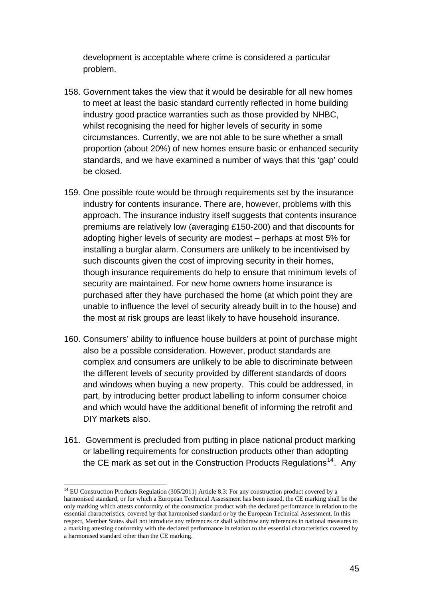<span id="page-44-0"></span>development is acceptable where crime is considered a particular problem.

- 158. Government takes the view that it would be desirable for all new homes to meet at least the basic standard currently reflected in home building industry good practice warranties such as those provided by NHBC, whilst recognising the need for higher levels of security in some circumstances. Currently, we are not able to be sure whether a small proportion (about 20%) of new homes ensure basic or enhanced security standards, and we have examined a number of ways that this 'gap' could be closed.
- 159. One possible route would be through requirements set by the insurance industry for contents insurance. There are, however, problems with this approach. The insurance industry itself suggests that contents insurance premiums are relatively low (averaging £150-200) and that discounts for adopting higher levels of security are modest – perhaps at most 5% for installing a burglar alarm. Consumers are unlikely to be incentivised by such discounts given the cost of improving security in their homes, though insurance requirements do help to ensure that minimum levels of security are maintained. For new home owners home insurance is purchased after they have purchased the home (at which point they are unable to influence the level of security already built in to the house) and the most at risk groups are least likely to have household insurance.
- 160. Consumers' ability to influence house builders at point of purchase might also be a possible consideration. However, product standards are complex and consumers are unlikely to be able to discriminate between the different levels of security provided by different standards of doors and windows when buying a new property. This could be addressed, in part, by introducing better product labelling to inform consumer choice and which would have the additional benefit of informing the retrofit and DIY markets also.
- 161. Government is precluded from putting in place national product marking or labelling requirements for construction products other than adopting the CE mark as set out in the Construction Products Regulations<sup>[14](#page-44-0)</sup>. Any

 $\overline{a}$ 

 $14$  EU Construction Products Regulation (305/2011) Article 8.3: For any construction product covered by a harmonised standard, or for which a European Technical Assessment has been issued, the CE marking shall be the only marking which attests conformity of the construction product with the declared performance in relation to the essential characteristics, covered by that harmonised standard or by the European Technical Assessment. In this respect, Member States shall not introduce any references or shall withdraw any references in national measures to a marking attesting conformity with the declared performance in relation to the essential characteristics covered by a harmonised standard other than the CE marking.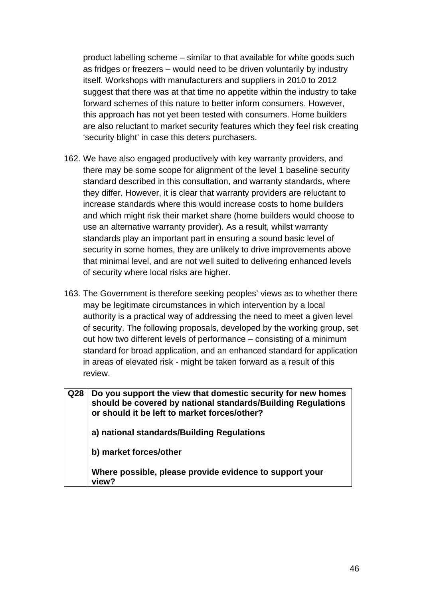product labelling scheme – similar to that available for white goods such as fridges or freezers – would need to be driven voluntarily by industry itself. Workshops with manufacturers and suppliers in 2010 to 2012 suggest that there was at that time no appetite within the industry to take forward schemes of this nature to better inform consumers. However, this approach has not yet been tested with consumers. Home builders are also reluctant to market security features which they feel risk creating 'security blight' in case this deters purchasers.

- 162. We have also engaged productively with key warranty providers, and there may be some scope for alignment of the level 1 baseline security standard described in this consultation, and warranty standards, where they differ. However, it is clear that warranty providers are reluctant to increase standards where this would increase costs to home builders and which might risk their market share (home builders would choose to use an alternative warranty provider). As a result, whilst warranty standards play an important part in ensuring a sound basic level of security in some homes, they are unlikely to drive improvements above that minimal level, and are not well suited to delivering enhanced levels of security where local risks are higher.
- 163. The Government is therefore seeking peoples' views as to whether there may be legitimate circumstances in which intervention by a local authority is a practical way of addressing the need to meet a given level of security. The following proposals, developed by the working group, set out how two different levels of performance – consisting of a minimum standard for broad application, and an enhanced standard for application in areas of elevated risk - might be taken forward as a result of this review.

| Q <sub>28</sub> | Do you support the view that domestic security for new homes<br>should be covered by national standards/Building Regulations<br>or should it be left to market forces/other? |
|-----------------|------------------------------------------------------------------------------------------------------------------------------------------------------------------------------|
|                 | a) national standards/Building Regulations                                                                                                                                   |
|                 | b) market forces/other                                                                                                                                                       |
|                 | Where possible, please provide evidence to support your<br>view?                                                                                                             |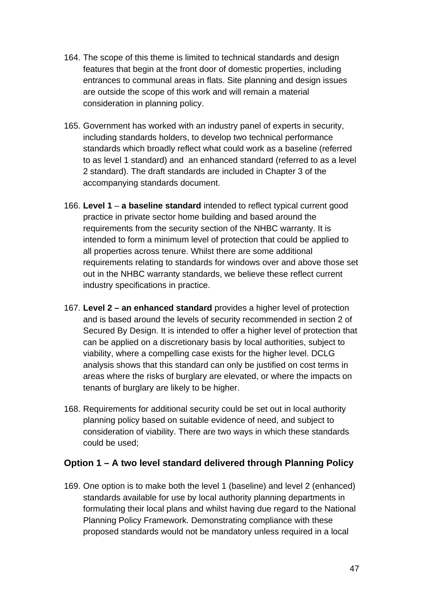- 164. The scope of this theme is limited to technical standards and design features that begin at the front door of domestic properties, including entrances to communal areas in flats. Site planning and design issues are outside the scope of this work and will remain a material consideration in planning policy.
- 165. Government has worked with an industry panel of experts in security, including standards holders, to develop two technical performance standards which broadly reflect what could work as a baseline (referred to as level 1 standard) and an enhanced standard (referred to as a level 2 standard). The draft standards are included in Chapter 3 of the accompanying standards document.
- 166. **Level 1 a baseline standard** intended to reflect typical current good practice in private sector home building and based around the requirements from the security section of the NHBC warranty. It is intended to form a minimum level of protection that could be applied to all properties across tenure. Whilst there are some additional requirements relating to standards for windows over and above those set out in the NHBC warranty standards, we believe these reflect current industry specifications in practice.
- 167. **Level 2 an enhanced standard** provides a higher level of protection and is based around the levels of security recommended in section 2 of Secured By Design. It is intended to offer a higher level of protection that can be applied on a discretionary basis by local authorities, subject to viability, where a compelling case exists for the higher level. DCLG analysis shows that this standard can only be justified on cost terms in areas where the risks of burglary are elevated, or where the impacts on tenants of burglary are likely to be higher.
- 168. Requirements for additional security could be set out in local authority planning policy based on suitable evidence of need, and subject to consideration of viability. There are two ways in which these standards could be used;

#### **Option 1 – A two level standard delivered through Planning Policy**

169. One option is to make both the level 1 (baseline) and level 2 (enhanced) standards available for use by local authority planning departments in formulating their local plans and whilst having due regard to the National Planning Policy Framework. Demonstrating compliance with these proposed standards would not be mandatory unless required in a local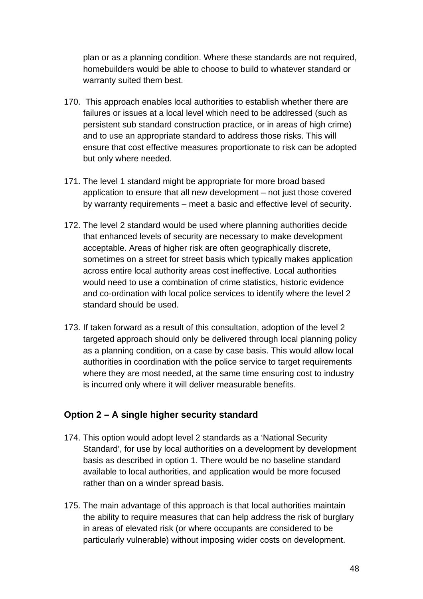plan or as a planning condition. Where these standards are not required, homebuilders would be able to choose to build to whatever standard or warranty suited them best.

- 170. This approach enables local authorities to establish whether there are failures or issues at a local level which need to be addressed (such as persistent sub standard construction practice, or in areas of high crime) and to use an appropriate standard to address those risks. This will ensure that cost effective measures proportionate to risk can be adopted but only where needed.
- 171. The level 1 standard might be appropriate for more broad based application to ensure that all new development – not just those covered by warranty requirements – meet a basic and effective level of security.
- 172. The level 2 standard would be used where planning authorities decide that enhanced levels of security are necessary to make development acceptable. Areas of higher risk are often geographically discrete, sometimes on a street for street basis which typically makes application across entire local authority areas cost ineffective. Local authorities would need to use a combination of crime statistics, historic evidence and co-ordination with local police services to identify where the level 2 standard should be used.
- 173. If taken forward as a result of this consultation, adoption of the level 2 targeted approach should only be delivered through local planning policy as a planning condition, on a case by case basis. This would allow local authorities in coordination with the police service to target requirements where they are most needed, at the same time ensuring cost to industry is incurred only where it will deliver measurable benefits.

#### **Option 2 – A single higher security standard**

- 174. This option would adopt level 2 standards as a 'National Security Standard', for use by local authorities on a development by development basis as described in option 1. There would be no baseline standard available to local authorities, and application would be more focused rather than on a winder spread basis.
- 175. The main advantage of this approach is that local authorities maintain the ability to require measures that can help address the risk of burglary in areas of elevated risk (or where occupants are considered to be particularly vulnerable) without imposing wider costs on development.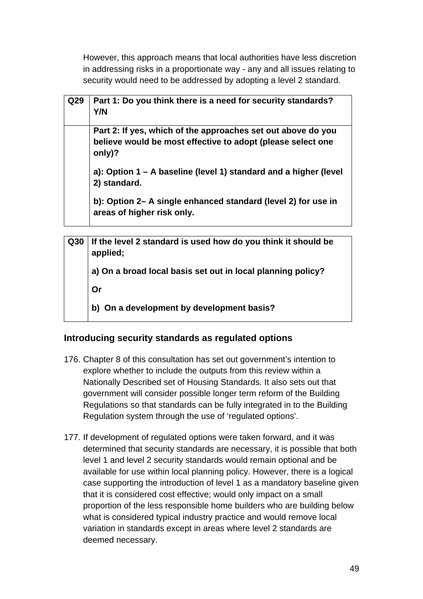However, this approach means that local authorities have less discretion in addressing risks in a proportionate way - any and all issues relating to security would need to be addressed by adopting a level 2 standard.

| Q29 | Part 1: Do you think there is a need for security standards?<br>Y/N                                                                   |
|-----|---------------------------------------------------------------------------------------------------------------------------------------|
|     | Part 2: If yes, which of the approaches set out above do you<br>believe would be most effective to adopt (please select one<br>only)? |
|     | a): Option 1 – A baseline (level 1) standard and a higher (level<br>2) standard.                                                      |
|     | b): Option 2- A single enhanced standard (level 2) for use in<br>areas of higher risk only.                                           |

| Q30 | If the level 2 standard is used how do you think it should be<br>applied; |  |
|-----|---------------------------------------------------------------------------|--|
|     | a) On a broad local basis set out in local planning policy?               |  |
|     | <b>Or</b>                                                                 |  |
|     | On a development by development basis?                                    |  |

#### **Introducing security standards as regulated options**

- 176. Chapter 8 of this consultation has set out government's intention to explore whether to include the outputs from this review within a Nationally Described set of Housing Standards. It also sets out that government will consider possible longer term reform of the Building Regulations so that standards can be fully integrated in to the Building Regulation system through the use of 'regulated options'.
- 177. If development of regulated options were taken forward, and it was determined that security standards are necessary, it is possible that both level 1 and level 2 security standards would remain optional and be available for use within local planning policy. However, there is a logical case supporting the introduction of level 1 as a mandatory baseline given that it is considered cost effective; would only impact on a small proportion of the less responsible home builders who are building below what is considered typical industry practice and would remove local variation in standards except in areas where level 2 standards are deemed necessary.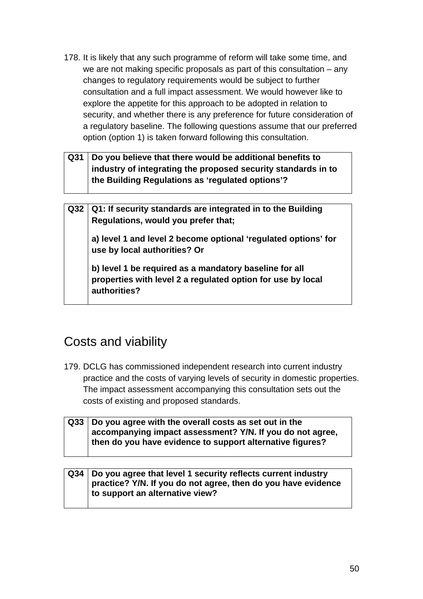- 178. It is likely that any such programme of reform will take some time, and we are not making specific proposals as part of this consultation – any changes to regulatory requirements would be subject to further consultation and a full impact assessment. We would however like to explore the appetite for this approach to be adopted in relation to security, and whether there is any preference for future consideration of a regulatory baseline. The following questions assume that our preferred option (option 1) is taken forward following this consultation.
- **Q31 Do you believe that there would be additional benefits to industry of integrating the proposed security standards in to the Building Regulations as 'regulated options'?**

**Q32 Q1: If security standards are integrated in to the Building Regulations, would you prefer that; a) level 1 and level 2 become optional 'regulated options' for use by local authorities? Or b) level 1 be required as a mandatory baseline for all properties with level 2 a regulated option for use by local** 

### Costs and viability

**authorities?** 

- 179. DCLG has commissioned independent research into current industry practice and the costs of varying levels of security in domestic properties. The impact assessment accompanying this consultation sets out the costs of existing and proposed standards.
- **Q33 Do you agree with the overall costs as set out in the accompanying impact assessment? Y/N. If you do not agree, then do you have evidence to support alternative figures?**

#### **Q34 Do you agree that level 1 security reflects current industry practice? Y/N. If you do not agree, then do you have evidence to support an alternative view?**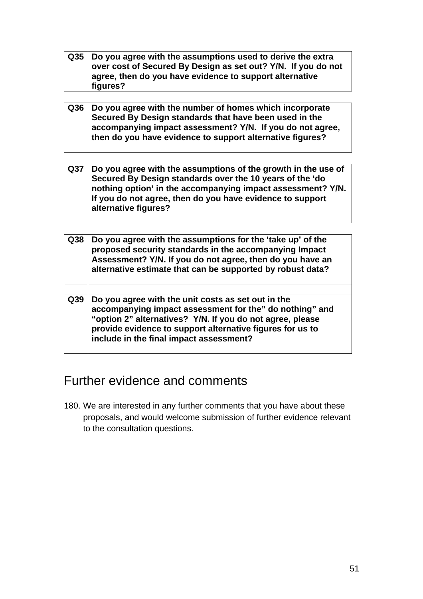- **Q35 Do you agree with the assumptions used to derive the extra over cost of Secured By Design as set out? Y/N. If you do not agree, then do you have evidence to support alternative figures?**
- **Q36 Do you agree with the number of homes which incorporate Secured By Design standards that have been used in the accompanying impact assessment? Y/N. If you do not agree, then do you have evidence to support alternative figures?**
- **Q37 Do you agree with the assumptions of the growth in the use of Secured By Design standards over the 10 years of the 'do nothing option' in the accompanying impact assessment? Y/N. If you do not agree, then do you have evidence to support alternative figures?**

| Q <sub>38</sub> | Do you agree with the assumptions for the 'take up' of the<br>proposed security standards in the accompanying Impact<br>Assessment? Y/N. If you do not agree, then do you have an<br>alternative estimate that can be supported by robust data?                                    |
|-----------------|------------------------------------------------------------------------------------------------------------------------------------------------------------------------------------------------------------------------------------------------------------------------------------|
|                 |                                                                                                                                                                                                                                                                                    |
| Q39             | Do you agree with the unit costs as set out in the<br>accompanying impact assessment for the" do nothing" and<br>"option 2" alternatives? Y/N. If you do not agree, please<br>provide evidence to support alternative figures for us to<br>include in the final impact assessment? |

### Further evidence and comments

180. We are interested in any further comments that you have about these proposals, and would welcome submission of further evidence relevant to the consultation questions.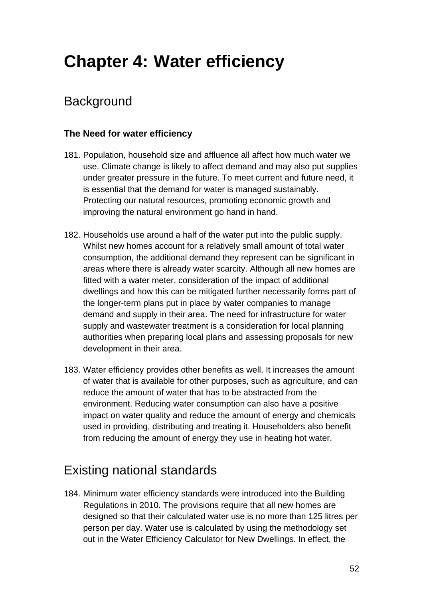# **Chapter 4: Water efficiency**

# **Background**

### **The Need for water efficiency**

- 181. Population, household size and affluence all affect how much water we use. Climate change is likely to affect demand and may also put supplies under greater pressure in the future. To meet current and future need, it is essential that the demand for water is managed sustainably. Protecting our natural resources, promoting economic growth and improving the natural environment go hand in hand.
- 182. Households use around a half of the water put into the public supply. Whilst new homes account for a relatively small amount of total water consumption, the additional demand they represent can be significant in areas where there is already water scarcity. Although all new homes are fitted with a water meter, consideration of the impact of additional dwellings and how this can be mitigated further necessarily forms part of the longer-term plans put in place by water companies to manage demand and supply in their area. The need for infrastructure for water supply and wastewater treatment is a consideration for local planning authorities when preparing local plans and assessing proposals for new development in their area.
- 183. Water efficiency provides other benefits as well. It increases the amount of water that is available for other purposes, such as agriculture, and can reduce the amount of water that has to be abstracted from the environment. Reducing water consumption can also have a positive impact on water quality and reduce the amount of energy and chemicals used in providing, distributing and treating it. Householders also benefit from reducing the amount of energy they use in heating hot water.

# Existing national standards

184. Minimum water efficiency standards were introduced into the Building Regulations in 2010. The provisions require that all new homes are designed so that their calculated water use is no more than 125 litres per person per day. Water use is calculated by using the methodology set out in the Water Efficiency Calculator for New Dwellings. In effect, the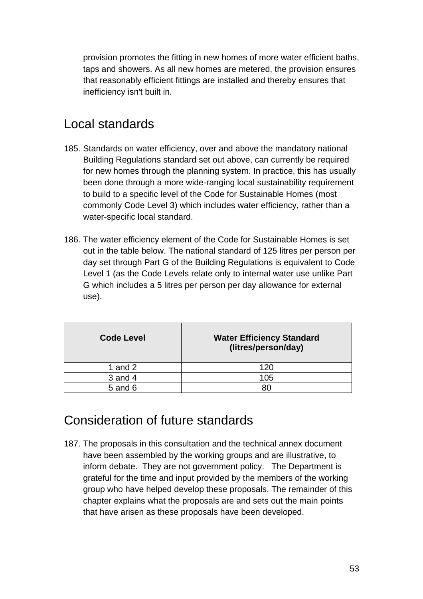provision promotes the fitting in new homes of more water efficient baths, taps and showers. As all new homes are metered, the provision ensures that reasonably efficient fittings are installed and thereby ensures that inefficiency isn't built in.

## Local standards

- 185. Standards on water efficiency, over and above the mandatory national Building Regulations standard set out above, can currently be required for new homes through the planning system. In practice, this has usually been done through a more wide-ranging local sustainability requirement to build to a specific level of the Code for Sustainable Homes (most commonly Code Level 3) which includes water efficiency, rather than a water-specific local standard.
- 186. The water efficiency element of the Code for Sustainable Homes is set out in the table below. The national standard of 125 litres per person per day set through Part G of the Building Regulations is equivalent to Code Level 1 (as the Code Levels relate only to internal water use unlike Part G which includes a 5 litres per person per day allowance for external use).

| <b>Code Level</b> | <b>Water Efficiency Standard</b><br>(litres/person/day) |
|-------------------|---------------------------------------------------------|
| 1 and $2$         | 120                                                     |
| $3$ and $4$       | 105                                                     |
| 5 and 6           | 80                                                      |

### Consideration of future standards

187. The proposals in this consultation and the technical annex document have been assembled by the working groups and are illustrative, to inform debate. They are not government policy. The Department is grateful for the time and input provided by the members of the working group who have helped develop these proposals. The remainder of this chapter explains what the proposals are and sets out the main points that have arisen as these proposals have been developed.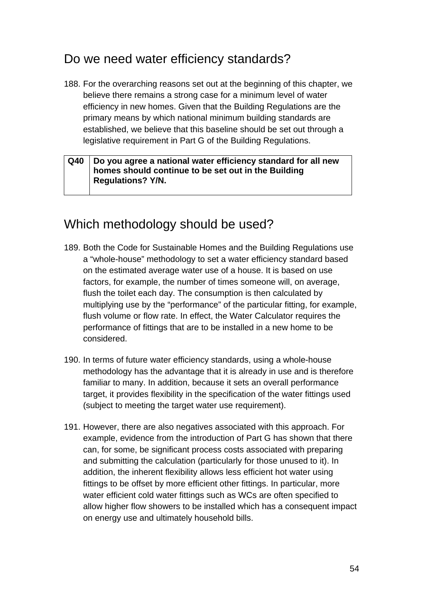### Do we need water efficiency standards?

188. For the overarching reasons set out at the beginning of this chapter, we believe there remains a strong case for a minimum level of water efficiency in new homes. Given that the Building Regulations are the primary means by which national minimum building standards are established, we believe that this baseline should be set out through a legislative requirement in Part G of the Building Regulations.

#### **Q40 Do you agree a national water efficiency standard for all new homes should continue to be set out in the Building Regulations? Y/N.**

## Which methodology should be used?

- 189. Both the Code for Sustainable Homes and the Building Regulations use a "whole-house" methodology to set a water efficiency standard based on the estimated average water use of a house. It is based on use factors, for example, the number of times someone will, on average, flush the toilet each day. The consumption is then calculated by multiplying use by the "performance" of the particular fitting, for example, flush volume or flow rate. In effect, the Water Calculator requires the performance of fittings that are to be installed in a new home to be considered.
- 190. In terms of future water efficiency standards, using a whole-house methodology has the advantage that it is already in use and is therefore familiar to many. In addition, because it sets an overall performance target, it provides flexibility in the specification of the water fittings used (subject to meeting the target water use requirement).
- 191. However, there are also negatives associated with this approach. For example, evidence from the introduction of Part G has shown that there can, for some, be significant process costs associated with preparing and submitting the calculation (particularly for those unused to it). In addition, the inherent flexibility allows less efficient hot water using fittings to be offset by more efficient other fittings. In particular, more water efficient cold water fittings such as WCs are often specified to allow higher flow showers to be installed which has a consequent impact on energy use and ultimately household bills.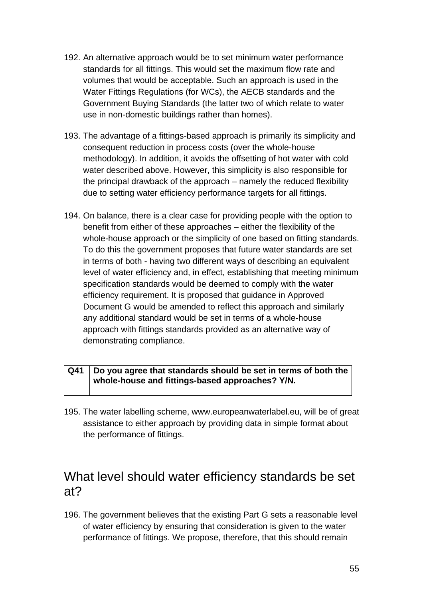- 192. An alternative approach would be to set minimum water performance standards for all fittings. This would set the maximum flow rate and volumes that would be acceptable. Such an approach is used in the Water Fittings Regulations (for WCs), the AECB standards and the Government Buying Standards (the latter two of which relate to water use in non-domestic buildings rather than homes).
- 193. The advantage of a fittings-based approach is primarily its simplicity and consequent reduction in process costs (over the whole-house methodology). In addition, it avoids the offsetting of hot water with cold water described above. However, this simplicity is also responsible for the principal drawback of the approach – namely the reduced flexibility due to setting water efficiency performance targets for all fittings.
- 194. On balance, there is a clear case for providing people with the option to benefit from either of these approaches – either the flexibility of the whole-house approach or the simplicity of one based on fitting standards. To do this the government proposes that future water standards are set in terms of both - having two different ways of describing an equivalent level of water efficiency and, in effect, establishing that meeting minimum specification standards would be deemed to comply with the water efficiency requirement. It is proposed that guidance in Approved Document G would be amended to reflect this approach and similarly any additional standard would be set in terms of a whole-house approach with fittings standards provided as an alternative way of demonstrating compliance.

#### **Q41 Do you agree that standards should be set in terms of both the whole-house and fittings-based approaches? Y/N.**

195. The water labelling scheme, [www.europeanwaterlabel.eu](http://www.europeanwaterlabel.eu/), will be of great assistance to either approach by providing data in simple format about the performance of fittings.

### What level should water efficiency standards be set at?

196. The government believes that the existing Part G sets a reasonable level of water efficiency by ensuring that consideration is given to the water performance of fittings. We propose, therefore, that this should remain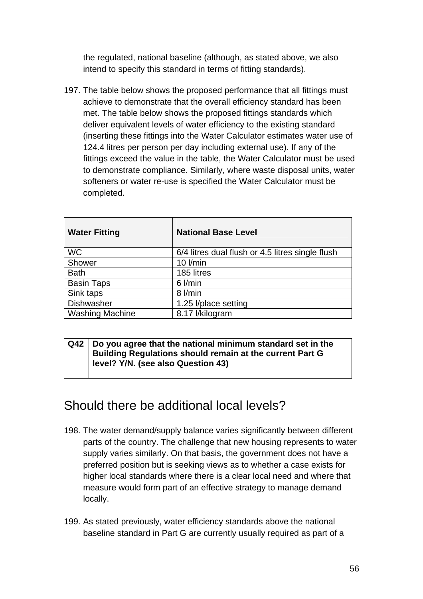the regulated, national baseline (although, as stated above, we also intend to specify this standard in terms of fitting standards).

197. The table below shows the proposed performance that all fittings must achieve to demonstrate that the overall efficiency standard has been met. The table below shows the proposed fittings standards which deliver equivalent levels of water efficiency to the existing standard (inserting these fittings into the Water Calculator estimates water use of 124.4 litres per person per day including external use). If any of the fittings exceed the value in the table, the Water Calculator must be used to demonstrate compliance. Similarly, where waste disposal units, water softeners or water re-use is specified the Water Calculator must be completed.

| <b>Water Fitting</b>   | <b>National Base Level</b>                       |
|------------------------|--------------------------------------------------|
| <b>WC</b>              | 6/4 litres dual flush or 4.5 litres single flush |
| Shower                 | $10$ I/min                                       |
| <b>Bath</b>            | 185 litres                                       |
| <b>Basin Taps</b>      | $6$ I/min                                        |
| Sink taps              | 8 l/min                                          |
| <b>Dishwasher</b>      | 1.25 l/place setting                             |
| <b>Washing Machine</b> | 8.17 l/kilogram                                  |

#### **Q42 Do you agree that the national minimum standard set in the Building Regulations should remain at the current Part G level? Y/N. (see also Question 43)**

### Should there be additional local levels?

- 198. The water demand/supply balance varies significantly between different parts of the country. The challenge that new housing represents to water supply varies similarly. On that basis, the government does not have a preferred position but is seeking views as to whether a case exists for higher local standards where there is a clear local need and where that measure would form part of an effective strategy to manage demand locally.
- 199. As stated previously, water efficiency standards above the national baseline standard in Part G are currently usually required as part of a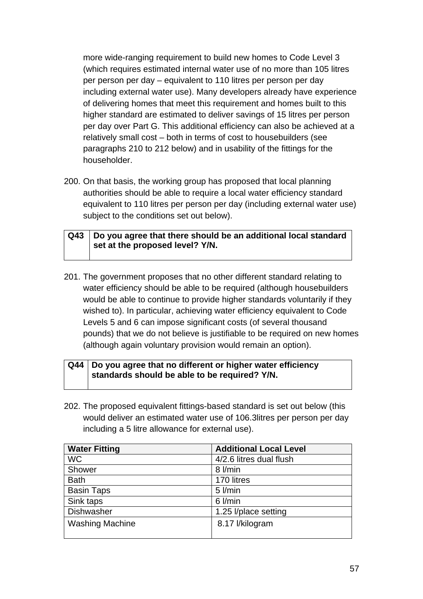more wide-ranging requirement to build new homes to Code Level 3 (which requires estimated internal water use of no more than 105 litres per person per day – equivalent to 110 litres per person per day including external water use). Many developers already have experience of delivering homes that meet this requirement and homes built to this higher standard are estimated to deliver savings of 15 litres per person per day over Part G. This additional efficiency can also be achieved at a relatively small cost – both in terms of cost to housebuilders (see paragraphs 210 to 212 below) and in usability of the fittings for the householder.

200. On that basis, the working group has proposed that local planning authorities should be able to require a local water efficiency standard equivalent to 110 litres per person per day (including external water use) subject to the conditions set out below).

| Q43   Do you agree that there should be an additional local standard |  |
|----------------------------------------------------------------------|--|
| I set at the proposed level? Y/N.                                    |  |

201. The government proposes that no other different standard relating to water efficiency should be able to be required (although housebuilders would be able to continue to provide higher standards voluntarily if they wished to). In particular, achieving water efficiency equivalent to Code Levels 5 and 6 can impose significant costs (of several thousand pounds) that we do not believe is justifiable to be required on new homes (although again voluntary provision would remain an option).

#### **Q44 Do you agree that no different or higher water efficiency standards should be able to be required? Y/N.**

202. The proposed equivalent fittings-based standard is set out below (this would deliver an estimated water use of 106.3litres per person per day including a 5 litre allowance for external use).

| <b>Water Fitting</b>   | <b>Additional Local Level</b> |
|------------------------|-------------------------------|
| <b>WC</b>              | 4/2.6 litres dual flush       |
| Shower                 | 8 l/min                       |
| <b>Bath</b>            | 170 litres                    |
| <b>Basin Taps</b>      | $5$ $l/min$                   |
| Sink taps              | $6$ $l/min$                   |
| <b>Dishwasher</b>      | 1.25 l/place setting          |
| <b>Washing Machine</b> | 8.17 l/kilogram               |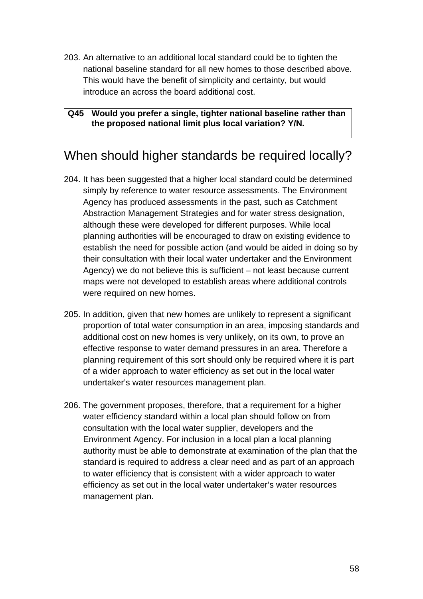203. An alternative to an additional local standard could be to tighten the national baseline standard for all new homes to those described above. This would have the benefit of simplicity and certainty, but would introduce an across the board additional cost.

**Q45 Would you prefer a single, tighter national baseline rather than the proposed national limit plus local variation? Y/N.** 

### When should higher standards be required locally?

- 204. It has been suggested that a higher local standard could be determined simply by reference to water resource assessments. The Environment Agency has produced assessments in the past, such as Catchment Abstraction Management Strategies and for water stress designation, although these were developed for different purposes. While local planning authorities will be encouraged to draw on existing evidence to establish the need for possible action (and would be aided in doing so by their consultation with their local water undertaker and the Environment Agency) we do not believe this is sufficient – not least because current maps were not developed to establish areas where additional controls were required on new homes.
- 205. In addition, given that new homes are unlikely to represent a significant proportion of total water consumption in an area, imposing standards and additional cost on new homes is very unlikely, on its own, to prove an effective response to water demand pressures in an area. Therefore a planning requirement of this sort should only be required where it is part of a wider approach to water efficiency as set out in the local water undertaker's water resources management plan.
- 206. The government proposes, therefore, that a requirement for a higher water efficiency standard within a local plan should follow on from consultation with the local water supplier, developers and the Environment Agency. For inclusion in a local plan a local planning authority must be able to demonstrate at examination of the plan that the standard is required to address a clear need and as part of an approach to water efficiency that is consistent with a wider approach to water efficiency as set out in the local water undertaker's water resources management plan.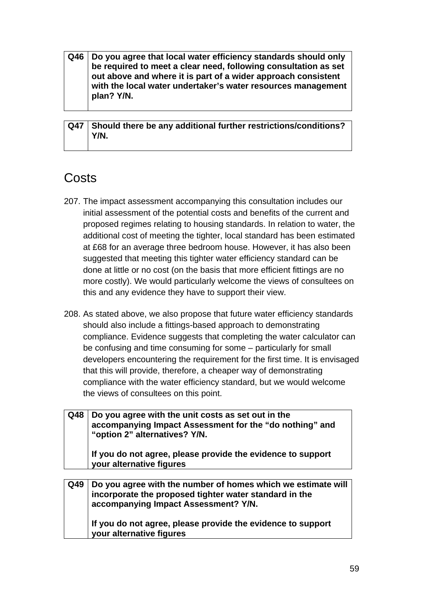**Q46 Do you agree that local water efficiency standards should only be required to meet a clear need, following consultation as set out above and where it is part of a wider approach consistent with the local water undertaker's water resources management plan? Y/N.** 

**Q47 Should there be any additional further restrictions/conditions? Y/N.** 

## Costs

- 207. The impact assessment accompanying this consultation includes our initial assessment of the potential costs and benefits of the current and proposed regimes relating to housing standards. In relation to water, the additional cost of meeting the tighter, local standard has been estimated at £68 for an average three bedroom house. However, it has also been suggested that meeting this tighter water efficiency standard can be done at little or no cost (on the basis that more efficient fittings are no more costly). We would particularly welcome the views of consultees on this and any evidence they have to support their view.
- 208. As stated above, we also propose that future water efficiency standards should also include a fittings-based approach to demonstrating compliance. Evidence suggests that completing the water calculator can be confusing and time consuming for some – particularly for small developers encountering the requirement for the first time. It is envisaged that this will provide, therefore, a cheaper way of demonstrating compliance with the water efficiency standard, but we would welcome the views of consultees on this point.

| Q48 | Do you agree with the unit costs as set out in the<br>accompanying Impact Assessment for the "do nothing" and<br>"option 2" alternatives? Y/N.                 |
|-----|----------------------------------------------------------------------------------------------------------------------------------------------------------------|
|     | If you do not agree, please provide the evidence to support<br>your alternative figures                                                                        |
|     |                                                                                                                                                                |
| Q49 | Do you agree with the number of homes which we estimate will<br>incorporate the proposed tighter water standard in the<br>accompanying Impact Assessment? Y/N. |

**If you do not agree, please provide the evidence to support your alternative figures**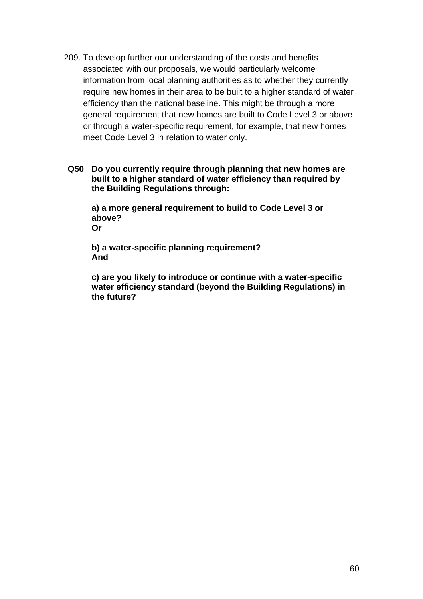209. To develop further our understanding of the costs and benefits associated with our proposals, we would particularly welcome information from local planning authorities as to whether they currently require new homes in their area to be built to a higher standard of water efficiency than the national baseline. This might be through a more general requirement that new homes are built to Code Level 3 or above or through a water-specific requirement, for example, that new homes meet Code Level 3 in relation to water only.

**Q50 Do you currently require through planning that new homes are built to a higher standard of water efficiency than required by the Building Regulations through: a) a more general requirement to build to Code Level 3 or above? Or b) a water-specific planning requirement? And c) are you likely to introduce or continue with a water-specific water efficiency standard (beyond the Building Regulations) in the future?**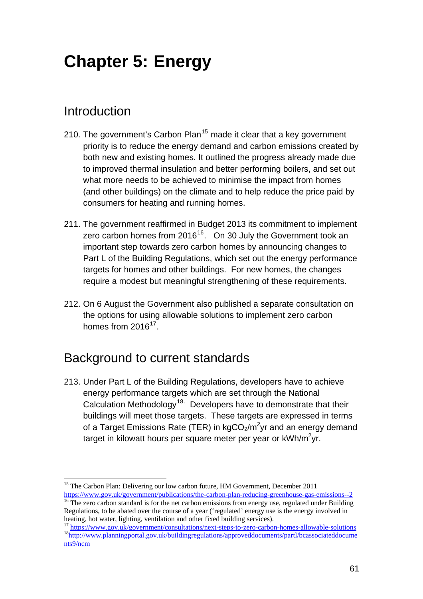# <span id="page-60-0"></span>**Chapter 5: Energy**

### Introduction

- 210. The government's Carbon Plan<sup>[15](#page-60-0)</sup> made it clear that a key government priority is to reduce the energy demand and carbon emissions created by both new and existing homes. It outlined the progress already made due to improved thermal insulation and better performing boilers, and set out what more needs to be achieved to minimise the impact from homes (and other buildings) on the climate and to help reduce the price paid by consumers for heating and running homes.
- 211. The government reaffirmed in Budget 2013 its commitment to implement zero carbon homes from  $2016^{16}$  $2016^{16}$  $2016^{16}$ . On 30 July the Government took an important step towards zero carbon homes by announcing changes to Part L of the Building Regulations, which set out the energy performance targets for homes and other buildings. For new homes, the changes require a modest but meaningful strengthening of these requirements.
- 212. On 6 August the Government also published a separate consultation on the options for using allowable solutions to implement zero carbon homes from 2016<sup>[17](#page-60-0)</sup>.

### Background to current standards

213. Under Part L of the Building Regulations, developers have to achieve energy performance targets which are set through the National Calculation Methodology<sup>[18](#page-60-0).</sup> Developers have to demonstrate that their buildings will meet those targets. These targets are expressed in terms of a Target Emissions Rate (TER) in kgCO<sub>2</sub>/m<sup>2</sup>yr and an energy demand target in kilowatt hours per square meter per year or kWh/m<sup>2</sup>yr.

 $\overline{a}$ <sup>15</sup> The Carbon Plan: Delivering our low carbon future, HM Government, December 2011 <https://www.gov.uk/government/publications/the-carbon-plan-reducing-greenhouse-gas-emissions--2>

 $16$  The zero carbon standard is for the net carbon emissions from energy use, regulated under Building Regulations, to be abated over the course of a year ('regulated' energy use is the energy involved in

heating, hot water, lighting, ventilation and other fixed building services).<br>
<sup>17</sup> https://www.gov.uk/government/consultations/next-steps-to-zero-carbon-homes-allowable-solutions<br>
<sup>18</sup>http://www.planningportal.gov.uk/buil [nts9/ncm](http://www.planningportal.gov.uk/buildingregulations/approveddocuments/partl/bcassociateddocuments9/ncm)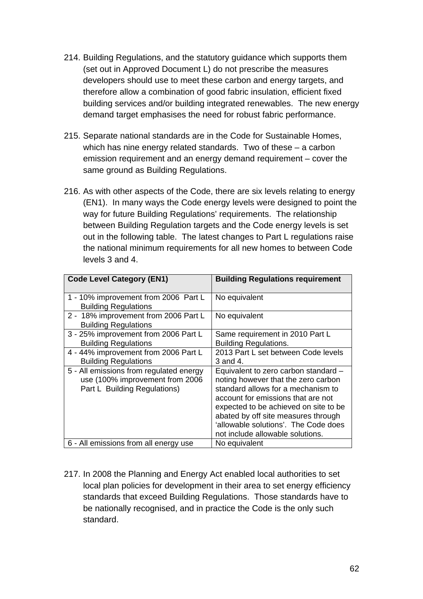- 214. Building Regulations, and the statutory guidance which supports them (set out in Approved Document L) do not prescribe the measures developers should use to meet these carbon and energy targets, and therefore allow a combination of good fabric insulation, efficient fixed building services and/or building integrated renewables. The new energy demand target emphasises the need for robust fabric performance.
- 215. Separate national standards are in the Code for Sustainable Homes, which has nine energy related standards. Two of these – a carbon emission requirement and an energy demand requirement – cover the same ground as Building Regulations.
- 216. As with other aspects of the Code, there are six levels relating to energy (EN1). In many ways the Code energy levels were designed to point the way for future Building Regulations' requirements. The relationship between Building Regulation targets and the Code energy levels is set out in the following table. The latest changes to Part L regulations raise the national minimum requirements for all new homes to between Code levels 3 and 4.

| <b>Code Level Category (EN1)</b>                                                                           | <b>Building Regulations requirement</b>                                                                                                                                                                                                                                                                             |
|------------------------------------------------------------------------------------------------------------|---------------------------------------------------------------------------------------------------------------------------------------------------------------------------------------------------------------------------------------------------------------------------------------------------------------------|
| 1 - 10% improvement from 2006 Part L<br><b>Building Regulations</b>                                        | No equivalent                                                                                                                                                                                                                                                                                                       |
| 2 - 18% improvement from 2006 Part L<br><b>Building Regulations</b>                                        | No equivalent                                                                                                                                                                                                                                                                                                       |
| 3 - 25% improvement from 2006 Part L<br><b>Building Regulations</b>                                        | Same requirement in 2010 Part L<br><b>Building Regulations.</b>                                                                                                                                                                                                                                                     |
| 4 - 44% improvement from 2006 Part L<br><b>Building Regulations</b>                                        | 2013 Part L set between Code levels<br>$3$ and $4$ .                                                                                                                                                                                                                                                                |
| 5 - All emissions from regulated energy<br>use (100% improvement from 2006<br>Part L Building Regulations) | Equivalent to zero carbon standard -<br>noting however that the zero carbon<br>standard allows for a mechanism to<br>account for emissions that are not<br>expected to be achieved on site to be<br>abated by off site measures through<br>'allowable solutions'. The Code does<br>not include allowable solutions. |
| 6 - All emissions from all energy use                                                                      | No equivalent                                                                                                                                                                                                                                                                                                       |

217. In 2008 the Planning and Energy Act enabled local authorities to set local plan policies for development in their area to set energy efficiency standards that exceed Building Regulations. Those standards have to be nationally recognised, and in practice the Code is the only such standard.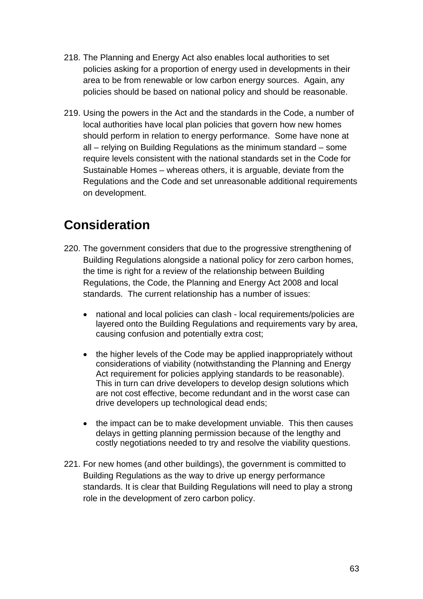- 218. The Planning and Energy Act also enables local authorities to set policies asking for a proportion of energy used in developments in their area to be from renewable or low carbon energy sources. Again, any policies should be based on national policy and should be reasonable.
- 219. Using the powers in the Act and the standards in the Code, a number of local authorities have local plan policies that govern how new homes should perform in relation to energy performance. Some have none at all – relying on Building Regulations as the minimum standard – some require levels consistent with the national standards set in the Code for Sustainable Homes – whereas others, it is arguable, deviate from the Regulations and the Code and set unreasonable additional requirements on development.

# **Consideration**

- 220. The government considers that due to the progressive strengthening of Building Regulations alongside a national policy for zero carbon homes, the time is right for a review of the relationship between Building Regulations, the Code, the Planning and Energy Act 2008 and local standards. The current relationship has a number of issues:
	- national and local policies can clash local requirements/policies are layered onto the Building Regulations and requirements vary by area, causing confusion and potentially extra cost;
	- the higher levels of the Code may be applied inappropriately without considerations of viability (notwithstanding the Planning and Energy Act requirement for policies applying standards to be reasonable). This in turn can drive developers to develop design solutions which are not cost effective, become redundant and in the worst case can drive developers up technological dead ends;
	- the impact can be to make development unviable. This then causes delays in getting planning permission because of the lengthy and costly negotiations needed to try and resolve the viability questions.
- 221. For new homes (and other buildings), the government is committed to Building Regulations as the way to drive up energy performance standards. It is clear that Building Regulations will need to play a strong role in the development of zero carbon policy.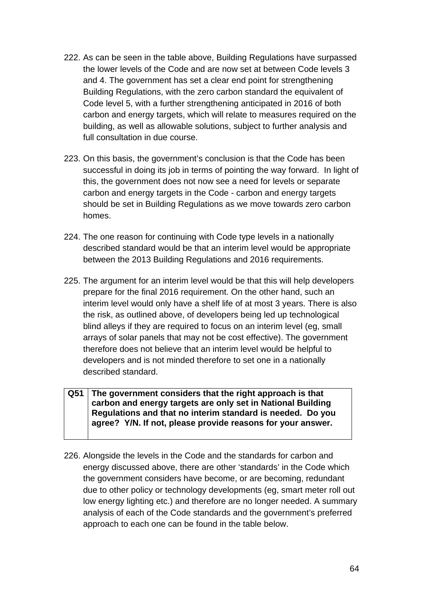- 222. As can be seen in the table above, Building Regulations have surpassed the lower levels of the Code and are now set at between Code levels 3 and 4. The government has set a clear end point for strengthening Building Regulations, with the zero carbon standard the equivalent of Code level 5, with a further strengthening anticipated in 2016 of both carbon and energy targets, which will relate to measures required on the building, as well as allowable solutions, subject to further analysis and full consultation in due course.
- 223. On this basis, the government's conclusion is that the Code has been successful in doing its job in terms of pointing the way forward. In light of this, the government does not now see a need for levels or separate carbon and energy targets in the Code - carbon and energy targets should be set in Building Regulations as we move towards zero carbon homes.
- 224. The one reason for continuing with Code type levels in a nationally described standard would be that an interim level would be appropriate between the 2013 Building Regulations and 2016 requirements.
- 225. The argument for an interim level would be that this will help developers prepare for the final 2016 requirement. On the other hand, such an interim level would only have a shelf life of at most 3 years. There is also the risk, as outlined above, of developers being led up technological blind alleys if they are required to focus on an interim level (eg, small arrays of solar panels that may not be cost effective). The government therefore does not believe that an interim level would be helpful to developers and is not minded therefore to set one in a nationally described standard.

#### **Q51 The government considers that the right approach is that carbon and energy targets are only set in National Building Regulations and that no interim standard is needed. Do you agree? Y/N. If not, please provide reasons for your answer.**

226. Alongside the levels in the Code and the standards for carbon and energy discussed above, there are other 'standards' in the Code which the government considers have become, or are becoming, redundant due to other policy or technology developments (eg, smart meter roll out low energy lighting etc.) and therefore are no longer needed. A summary analysis of each of the Code standards and the government's preferred approach to each one can be found in the table below.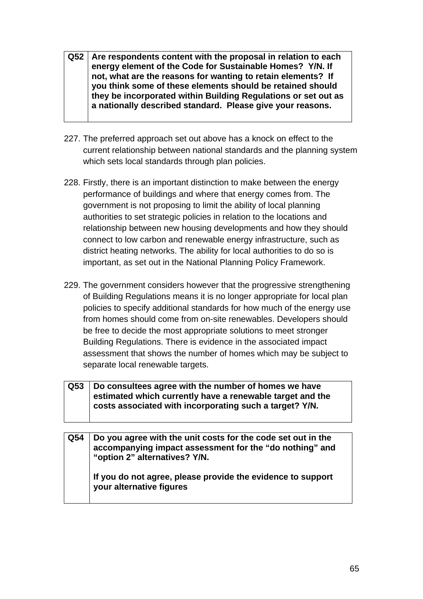- **Q52 Are respondents content with the proposal in relation to each energy element of the Code for Sustainable Homes? Y/N. If not, what are the reasons for wanting to retain elements? If you think some of these elements should be retained should they be incorporated within Building Regulations or set out as a nationally described standard. Please give your reasons.**
- 227. The preferred approach set out above has a knock on effect to the current relationship between national standards and the planning system which sets local standards through plan policies.
- 228. Firstly, there is an important distinction to make between the energy performance of buildings and where that energy comes from. The government is not proposing to limit the ability of local planning authorities to set strategic policies in relation to the locations and relationship between new housing developments and how they should connect to low carbon and renewable energy infrastructure, such as district heating networks. The ability for local authorities to do so is important, as set out in the National Planning Policy Framework.
- 229. The government considers however that the progressive strengthening of Building Regulations means it is no longer appropriate for local plan policies to specify additional standards for how much of the energy use from homes should come from on-site renewables. Developers should be free to decide the most appropriate solutions to meet stronger Building Regulations. There is evidence in the associated impact assessment that shows the number of homes which may be subject to separate local renewable targets.

| Q53   Do consultees agree with the number of homes we have |  |  |
|------------------------------------------------------------|--|--|
| estimated which currently have a renewable target and the  |  |  |
| costs associated with incorporating such a target? Y/N.    |  |  |
|                                                            |  |  |

| Q54 | Do you agree with the unit costs for the code set out in the<br>accompanying impact assessment for the "do nothing" and<br>"option 2" alternatives? Y/N. |
|-----|----------------------------------------------------------------------------------------------------------------------------------------------------------|
|     | If you do not agree, please provide the evidence to support<br>your alternative figures                                                                  |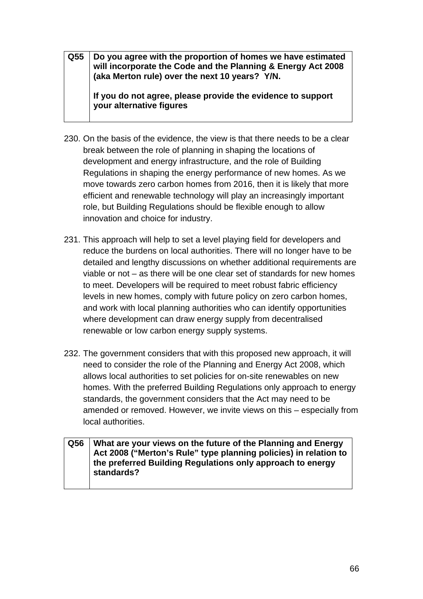**Q55 Do you agree with the proportion of homes we have estimated will incorporate the Code and the Planning & Energy Act 2008 (aka Merton rule) over the next 10 years? Y/N.** 

**If you do not agree, please provide the evidence to support your alternative figures** 

- 230. On the basis of the evidence, the view is that there needs to be a clear break between the role of planning in shaping the locations of development and energy infrastructure, and the role of Building Regulations in shaping the energy performance of new homes. As we move towards zero carbon homes from 2016, then it is likely that more efficient and renewable technology will play an increasingly important role, but Building Regulations should be flexible enough to allow innovation and choice for industry.
- 231. This approach will help to set a level playing field for developers and reduce the burdens on local authorities. There will no longer have to be detailed and lengthy discussions on whether additional requirements are viable or not – as there will be one clear set of standards for new homes to meet. Developers will be required to meet robust fabric efficiency levels in new homes, comply with future policy on zero carbon homes, and work with local planning authorities who can identify opportunities where development can draw energy supply from decentralised renewable or low carbon energy supply systems.
- 232. The government considers that with this proposed new approach, it will need to consider the role of the Planning and Energy Act 2008, which allows local authorities to set policies for on-site renewables on new homes. With the preferred Building Regulations only approach to energy standards, the government considers that the Act may need to be amended or removed. However, we invite views on this – especially from local authorities.

#### **Q56 What are your views on the future of the Planning and Energy Act 2008 ("Merton's Rule" type planning policies) in relation to the preferred Building Regulations only approach to energy standards?**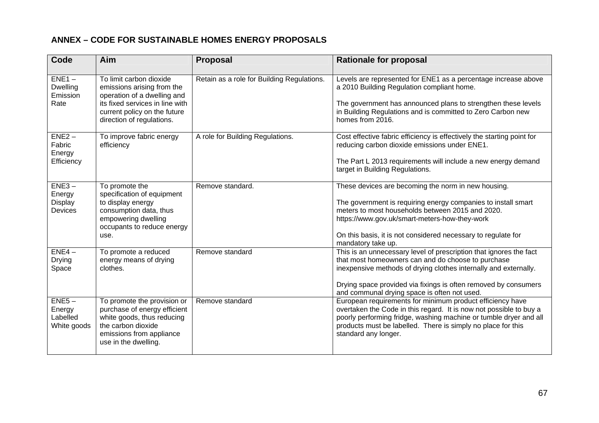#### **ANNEX – CODE FOR SUSTAINABLE HOMES ENERGY PROPOSALS**

| Code                                            | Aim                                                                                                                                                                                  | <b>Proposal</b>                            | <b>Rationale for proposal</b>                                                                                                                                                                                                                                                                                    |
|-------------------------------------------------|--------------------------------------------------------------------------------------------------------------------------------------------------------------------------------------|--------------------------------------------|------------------------------------------------------------------------------------------------------------------------------------------------------------------------------------------------------------------------------------------------------------------------------------------------------------------|
| $ENE1 -$<br><b>Dwelling</b><br>Emission<br>Rate | To limit carbon dioxide<br>emissions arising from the<br>operation of a dwelling and<br>its fixed services in line with<br>current policy on the future<br>direction of regulations. | Retain as a role for Building Regulations. | Levels are represented for ENE1 as a percentage increase above<br>a 2010 Building Regulation compliant home.<br>The government has announced plans to strengthen these levels<br>in Building Regulations and is committed to Zero Carbon new<br>homes from 2016.                                                 |
| $ENE2 -$<br>Fabric<br>Energy<br>Efficiency      | To improve fabric energy<br>efficiency                                                                                                                                               | A role for Building Regulations.           | Cost effective fabric efficiency is effectively the starting point for<br>reducing carbon dioxide emissions under ENE1.<br>The Part L 2013 requirements will include a new energy demand<br>target in Building Regulations.                                                                                      |
| $ENE3 -$<br>Energy<br><b>Display</b><br>Devices | To promote the<br>specification of equipment<br>to display energy<br>consumption data, thus<br>empowering dwelling<br>occupants to reduce energy<br>use.                             | Remove standard.                           | These devices are becoming the norm in new housing.<br>The government is requiring energy companies to install smart<br>meters to most households between 2015 and 2020.<br>https://www.gov.uk/smart-meters-how-they-work<br>On this basis, it is not considered necessary to regulate for<br>mandatory take up. |
| $ENE4-$<br><b>Drying</b><br>Space               | To promote a reduced<br>energy means of drying<br>clothes.                                                                                                                           | Remove standard                            | This is an unnecessary level of prescription that ignores the fact<br>that most homeowners can and do choose to purchase<br>inexpensive methods of drying clothes internally and externally.<br>Drying space provided via fixings is often removed by consumers<br>and communal drying space is often not used.  |
| $ENE5-$<br>Energy<br>Labelled<br>White goods    | To promote the provision or<br>purchase of energy efficient<br>white goods, thus reducing<br>the carbon dioxide<br>emissions from appliance<br>use in the dwelling.                  | Remove standard                            | European requirements for minimum product efficiency have<br>overtaken the Code in this regard. It is now not possible to buy a<br>poorly performing fridge, washing machine or tumble dryer and all<br>products must be labelled. There is simply no place for this<br>standard any longer.                     |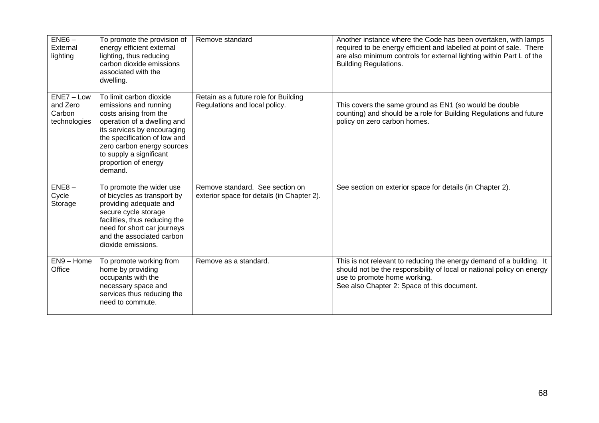| $ENE6-$<br>External<br>lighting                    | To promote the provision of<br>energy efficient external<br>lighting, thus reducing<br>carbon dioxide emissions<br>associated with the<br>dwelling.                                                                                                                  | Remove standard                                                               | Another instance where the Code has been overtaken, with lamps<br>required to be energy efficient and labelled at point of sale. There<br>are also minimum controls for external lighting within Part L of the<br><b>Building Regulations.</b> |
|----------------------------------------------------|----------------------------------------------------------------------------------------------------------------------------------------------------------------------------------------------------------------------------------------------------------------------|-------------------------------------------------------------------------------|------------------------------------------------------------------------------------------------------------------------------------------------------------------------------------------------------------------------------------------------|
| $ENE7 - Low$<br>and Zero<br>Carbon<br>technologies | To limit carbon dioxide<br>emissions and running<br>costs arising from the<br>operation of a dwelling and<br>its services by encouraging<br>the specification of low and<br>zero carbon energy sources<br>to supply a significant<br>proportion of energy<br>demand. | Retain as a future role for Building<br>Regulations and local policy.         | This covers the same ground as EN1 (so would be double<br>counting) and should be a role for Building Regulations and future<br>policy on zero carbon homes.                                                                                   |
| $ENE8-$<br>Cycle<br>Storage                        | To promote the wider use<br>of bicycles as transport by<br>providing adequate and<br>secure cycle storage<br>facilities, thus reducing the<br>need for short car journeys<br>and the associated carbon<br>dioxide emissions.                                         | Remove standard. See section on<br>exterior space for details (in Chapter 2). | See section on exterior space for details (in Chapter 2).                                                                                                                                                                                      |
| $EN9 - Home$<br>Office                             | To promote working from<br>home by providing<br>occupants with the<br>necessary space and<br>services thus reducing the<br>need to commute.                                                                                                                          | Remove as a standard.                                                         | This is not relevant to reducing the energy demand of a building. It<br>should not be the responsibility of local or national policy on energy<br>use to promote home working.<br>See also Chapter 2: Space of this document.                  |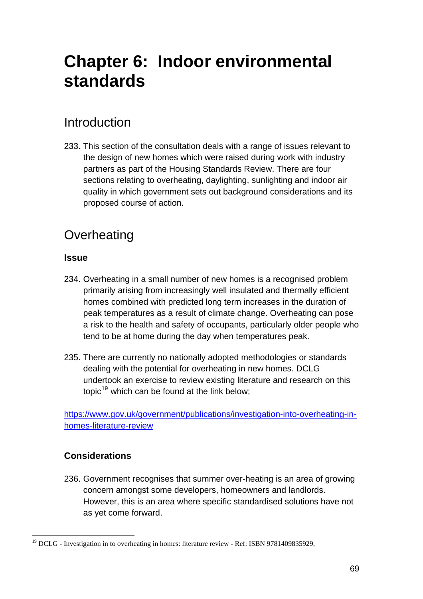# <span id="page-68-0"></span>**Chapter 6: Indoor environmental standards**

## Introduction

233. This section of the consultation deals with a range of issues relevant to the design of new homes which were raised during work with industry partners as part of the Housing Standards Review. There are four sections relating to overheating, daylighting, sunlighting and indoor air quality in which government sets out background considerations and its proposed course of action.

### **Overheating**

#### **Issue**

- 234. Overheating in a small number of new homes is a recognised problem primarily arising from increasingly well insulated and thermally efficient homes combined with predicted long term increases in the duration of peak temperatures as a result of climate change. Overheating can pose a risk to the health and safety of occupants, particularly older people who tend to be at home during the day when temperatures peak.
- 235. There are currently no nationally adopted methodologies or standards dealing with the potential for overheating in new homes. DCLG undertook an exercise to review existing literature and research on this topic<sup>[19](#page-68-0)</sup> which can be found at the link below;

[https://www.gov.uk/government/publications/investigation-into-overheating-in](https://www.gov.uk/government/publications/investigation-into-overheating-in-homes-literature-review)[homes-literature-review](https://www.gov.uk/government/publications/investigation-into-overheating-in-homes-literature-review)

### **Considerations**

236. Government recognises that summer over-heating is an area of growing concern amongst some developers, homeowners and landlords. However, this is an area where specific standardised solutions have not as yet come forward.

l <sup>19</sup> DCLG - Investigation in to overheating in homes: literature review - Ref: ISBN 9781409835929,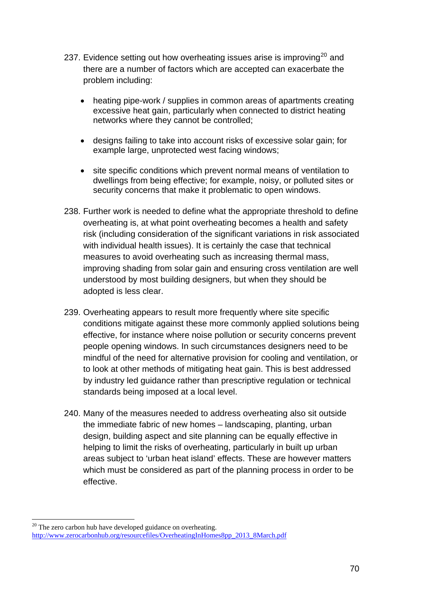- <span id="page-69-0"></span>237. Evidence setting out how overheating issues arise is improving<sup>[20](#page-69-0)</sup> and there are a number of factors which are accepted can exacerbate the problem including:
	- heating pipe-work / supplies in common areas of apartments creating excessive heat gain, particularly when connected to district heating networks where they cannot be controlled;
	- designs failing to take into account risks of excessive solar gain; for example large, unprotected west facing windows;
	- site specific conditions which prevent normal means of ventilation to dwellings from being effective; for example, noisy, or polluted sites or security concerns that make it problematic to open windows.
- 238. Further work is needed to define what the appropriate threshold to define overheating is, at what point overheating becomes a health and safety risk (including consideration of the significant variations in risk associated with individual health issues). It is certainly the case that technical measures to avoid overheating such as increasing thermal mass, improving shading from solar gain and ensuring cross ventilation are well understood by most building designers, but when they should be adopted is less clear.
- 239. Overheating appears to result more frequently where site specific conditions mitigate against these more commonly applied solutions being effective, for instance where noise pollution or security concerns prevent people opening windows. In such circumstances designers need to be mindful of the need for alternative provision for cooling and ventilation, or to look at other methods of mitigating heat gain. This is best addressed by industry led guidance rather than prescriptive regulation or technical standards being imposed at a local level.
- 240. Many of the measures needed to address overheating also sit outside the immediate fabric of new homes – landscaping, planting, urban design, building aspect and site planning can be equally effective in helping to limit the risks of overheating, particularly in built up urban areas subject to 'urban heat island' effects. These are however matters which must be considered as part of the planning process in order to be effective.

l

 $20$  The zero carbon hub have developed guidance on overheating. [http://www.zerocarbonhub.org/resourcefiles/OverheatingInHomes8pp\\_2013\\_8March.pdf](http://www.zerocarbonhub.org/resourcefiles/OverheatingInHomes8pp_2013_8March.pdf)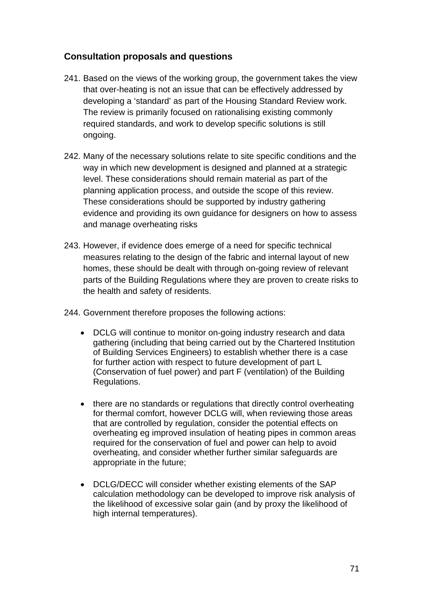#### **Consultation proposals and questions**

- 241. Based on the views of the working group, the government takes the view that over-heating is not an issue that can be effectively addressed by developing a 'standard' as part of the Housing Standard Review work. The review is primarily focused on rationalising existing commonly required standards, and work to develop specific solutions is still ongoing.
- 242. Many of the necessary solutions relate to site specific conditions and the way in which new development is designed and planned at a strategic level. These considerations should remain material as part of the planning application process, and outside the scope of this review. These considerations should be supported by industry gathering evidence and providing its own guidance for designers on how to assess and manage overheating risks
- 243. However, if evidence does emerge of a need for specific technical measures relating to the design of the fabric and internal layout of new homes, these should be dealt with through on-going review of relevant parts of the Building Regulations where they are proven to create risks to the health and safety of residents.
- 244. Government therefore proposes the following actions:
	- DCLG will continue to monitor on-going industry research and data gathering (including that being carried out by the Chartered Institution of Building Services Engineers) to establish whether there is a case for further action with respect to future development of part L (Conservation of fuel power) and part F (ventilation) of the Building Regulations.
	- there are no standards or regulations that directly control overheating for thermal comfort, however DCLG will, when reviewing those areas that are controlled by regulation, consider the potential effects on overheating eg improved insulation of heating pipes in common areas required for the conservation of fuel and power can help to avoid overheating, and consider whether further similar safeguards are appropriate in the future;
	- DCLG/DECC will consider whether existing elements of the SAP calculation methodology can be developed to improve risk analysis of the likelihood of excessive solar gain (and by proxy the likelihood of high internal temperatures).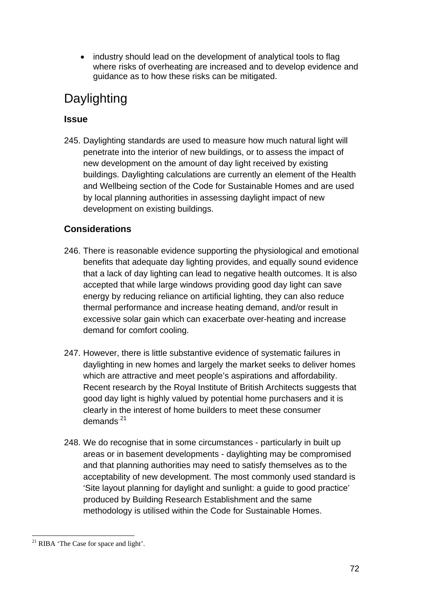<span id="page-71-0"></span>• industry should lead on the development of analytical tools to flag where risks of overheating are increased and to develop evidence and guidance as to how these risks can be mitigated.

# Daylighting

### **Issue**

245. Daylighting standards are used to measure how much natural light will penetrate into the interior of new buildings, or to assess the impact of new development on the amount of day light received by existing buildings. Daylighting calculations are currently an element of the Health and Wellbeing section of the Code for Sustainable Homes and are used by local planning authorities in assessing daylight impact of new development on existing buildings.

### **Considerations**

- 246. There is reasonable evidence supporting the physiological and emotional benefits that adequate day lighting provides, and equally sound evidence that a lack of day lighting can lead to negative health outcomes. It is also accepted that while large windows providing good day light can save energy by reducing reliance on artificial lighting, they can also reduce thermal performance and increase heating demand, and/or result in excessive solar gain which can exacerbate over-heating and increase demand for comfort cooling.
- 247. However, there is little substantive evidence of systematic failures in daylighting in new homes and largely the market seeks to deliver homes which are attractive and meet people's aspirations and affordability. Recent research by the Royal Institute of British Architects suggests that good day light is highly valued by potential home purchasers and it is clearly in the interest of home builders to meet these consumer demands<sup>.[21](#page-71-0)</sup>
- 248. We do recognise that in some circumstances particularly in built up areas or in basement developments - daylighting may be compromised and that planning authorities may need to satisfy themselves as to the acceptability of new development. The most commonly used standard is 'Site layout planning for daylight and sunlight: a guide to good practice' produced by Building Research Establishment and the same methodology is utilised within the Code for Sustainable Homes.

l  $21$  RIBA 'The Case for space and light'.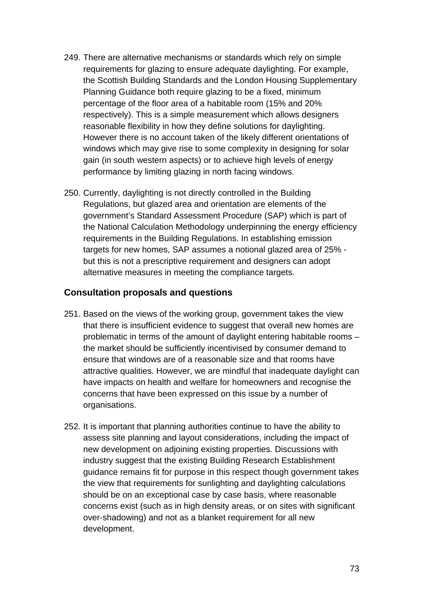- 249. There are alternative mechanisms or standards which rely on simple requirements for glazing to ensure adequate daylighting. For example, the Scottish Building Standards and the London Housing Supplementary Planning Guidance both require glazing to be a fixed, minimum percentage of the floor area of a habitable room (15% and 20% respectively). This is a simple measurement which allows designers reasonable flexibility in how they define solutions for daylighting. However there is no account taken of the likely different orientations of windows which may give rise to some complexity in designing for solar gain (in south western aspects) or to achieve high levels of energy performance by limiting glazing in north facing windows.
- 250. Currently, daylighting is not directly controlled in the Building Regulations, but glazed area and orientation are elements of the government's Standard Assessment Procedure (SAP) which is part of the National Calculation Methodology underpinning the energy efficiency requirements in the Building Regulations. In establishing emission targets for new homes, SAP assumes a notional glazed area of 25% but this is not a prescriptive requirement and designers can adopt alternative measures in meeting the compliance targets.

#### **Consultation proposals and questions**

- 251. Based on the views of the working group, government takes the view that there is insufficient evidence to suggest that overall new homes are problematic in terms of the amount of daylight entering habitable rooms – the market should be sufficiently incentivised by consumer demand to ensure that windows are of a reasonable size and that rooms have attractive qualities. However, we are mindful that inadequate daylight can have impacts on health and welfare for homeowners and recognise the concerns that have been expressed on this issue by a number of organisations.
- 252. It is important that planning authorities continue to have the ability to assess site planning and layout considerations, including the impact of new development on adjoining existing properties. Discussions with industry suggest that the existing Building Research Establishment guidance remains fit for purpose in this respect though government takes the view that requirements for sunlighting and daylighting calculations should be on an exceptional case by case basis, where reasonable concerns exist (such as in high density areas, or on sites with significant over-shadowing) and not as a blanket requirement for all new development.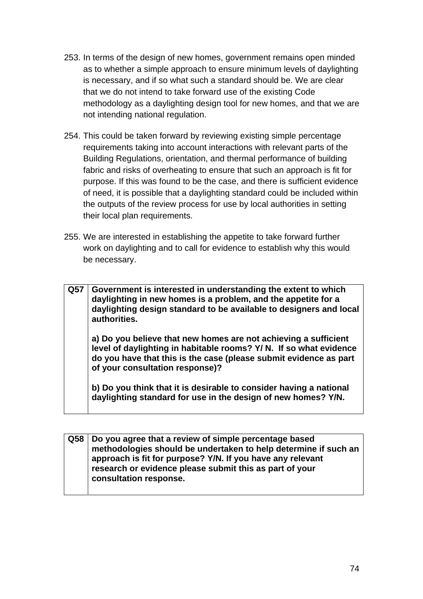- 253. In terms of the design of new homes, government remains open minded as to whether a simple approach to ensure minimum levels of daylighting is necessary, and if so what such a standard should be. We are clear that we do not intend to take forward use of the existing Code methodology as a daylighting design tool for new homes, and that we are not intending national regulation.
- 254. This could be taken forward by reviewing existing simple percentage requirements taking into account interactions with relevant parts of the Building Regulations, orientation, and thermal performance of building fabric and risks of overheating to ensure that such an approach is fit for purpose. If this was found to be the case, and there is sufficient evidence of need, it is possible that a daylighting standard could be included within the outputs of the review process for use by local authorities in setting their local plan requirements.
- 255. We are interested in establishing the appetite to take forward further work on daylighting and to call for evidence to establish why this would be necessary.

**Q57 Government is interested in understanding the extent to which daylighting in new homes is a problem, and the appetite for a daylighting design standard to be available to designers and local authorities.** 

**a) Do you believe that new homes are not achieving a sufficient level of daylighting in habitable rooms? Y/ N. If so what evidence do you have that this is the case (please submit evidence as part of your consultation response)?** 

**b) Do you think that it is desirable to consider having a national daylighting standard for use in the design of new homes? Y/N.** 

**Q58 Do you agree that a review of simple percentage based methodologies should be undertaken to help determine if such an approach is fit for purpose? Y/N. If you have any relevant research or evidence please submit this as part of your consultation response.**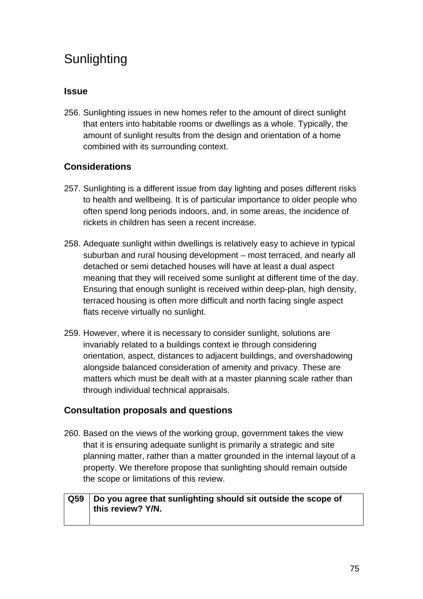# **Sunlighting**

### **Issue**

256. Sunlighting issues in new homes refer to the amount of direct sunlight that enters into habitable rooms or dwellings as a whole. Typically, the amount of sunlight results from the design and orientation of a home combined with its surrounding context.

### **Considerations**

- 257. Sunlighting is a different issue from day lighting and poses different risks to health and wellbeing. It is of particular importance to older people who often spend long periods indoors, and, in some areas, the incidence of rickets in children has seen a recent increase.
- 258. Adequate sunlight within dwellings is relatively easy to achieve in typical suburban and rural housing development – most terraced, and nearly all detached or semi detached houses will have at least a dual aspect meaning that they will received some sunlight at different time of the day. Ensuring that enough sunlight is received within deep-plan, high density, terraced housing is often more difficult and north facing single aspect flats receive virtually no sunlight.
- 259. However, where it is necessary to consider sunlight, solutions are invariably related to a buildings context ie through considering orientation, aspect, distances to adjacent buildings, and overshadowing alongside balanced consideration of amenity and privacy. These are matters which must be dealt with at a master planning scale rather than through individual technical appraisals.

### **Consultation proposals and questions**

260. Based on the views of the working group, government takes the view that it is ensuring adequate sunlight is primarily a strategic and site planning matter, rather than a matter grounded in the internal layout of a property. We therefore propose that sunlighting should remain outside the scope or limitations of this review.

### **Q59 Do you agree that sunlighting should sit outside the scope of this review? Y/N.**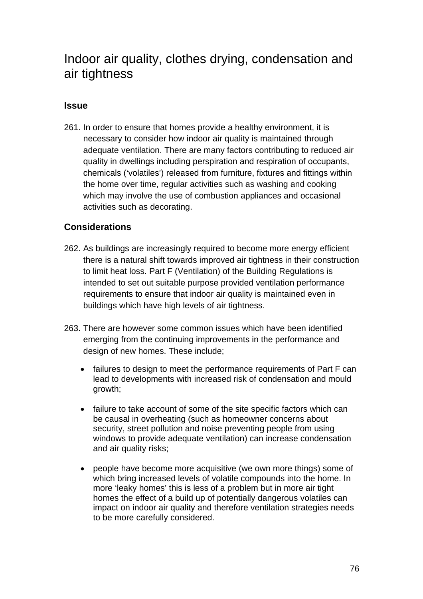# Indoor air quality, clothes drying, condensation and air tightness

### **Issue**

261. In order to ensure that homes provide a healthy environment, it is necessary to consider how indoor air quality is maintained through adequate ventilation. There are many factors contributing to reduced air quality in dwellings including perspiration and respiration of occupants, chemicals ('volatiles') released from furniture, fixtures and fittings within the home over time, regular activities such as washing and cooking which may involve the use of combustion appliances and occasional activities such as decorating.

#### **Considerations**

- 262. As buildings are increasingly required to become more energy efficient there is a natural shift towards improved air tightness in their construction to limit heat loss. Part F (Ventilation) of the Building Regulations is intended to set out suitable purpose provided ventilation performance requirements to ensure that indoor air quality is maintained even in buildings which have high levels of air tightness.
- 263. There are however some common issues which have been identified emerging from the continuing improvements in the performance and design of new homes. These include;
	- failures to design to meet the performance requirements of Part F can lead to developments with increased risk of condensation and mould growth;
	- failure to take account of some of the site specific factors which can be causal in overheating (such as homeowner concerns about security, street pollution and noise preventing people from using windows to provide adequate ventilation) can increase condensation and air quality risks;
	- people have become more acquisitive (we own more things) some of which bring increased levels of volatile compounds into the home. In more 'leaky homes' this is less of a problem but in more air tight homes the effect of a build up of potentially dangerous volatiles can impact on indoor air quality and therefore ventilation strategies needs to be more carefully considered.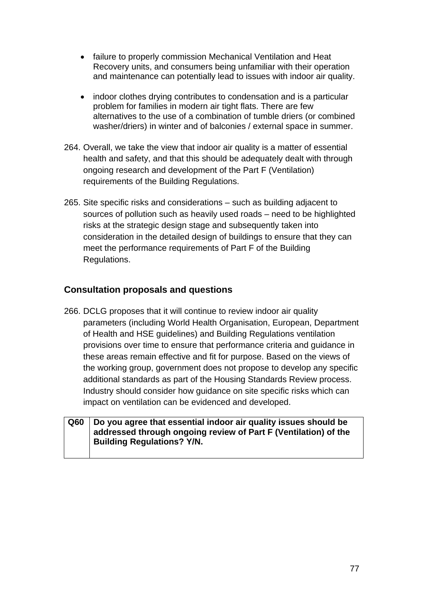- failure to properly commission Mechanical Ventilation and Heat Recovery units, and consumers being unfamiliar with their operation and maintenance can potentially lead to issues with indoor air quality.
- indoor clothes drying contributes to condensation and is a particular problem for families in modern air tight flats. There are few alternatives to the use of a combination of tumble driers (or combined washer/driers) in winter and of balconies / external space in summer.
- 264. Overall, we take the view that indoor air quality is a matter of essential health and safety, and that this should be adequately dealt with through ongoing research and development of the Part F (Ventilation) requirements of the Building Regulations.
- 265. Site specific risks and considerations such as building adjacent to sources of pollution such as heavily used roads – need to be highlighted risks at the strategic design stage and subsequently taken into consideration in the detailed design of buildings to ensure that they can meet the performance requirements of Part F of the Building Regulations.

### **Consultation proposals and questions**

266. DCLG proposes that it will continue to review indoor air quality parameters (including World Health Organisation, European, Department of Health and HSE guidelines) and Building Regulations ventilation provisions over time to ensure that performance criteria and guidance in these areas remain effective and fit for purpose. Based on the views of the working group, government does not propose to develop any specific additional standards as part of the Housing Standards Review process. Industry should consider how guidance on site specific risks which can impact on ventilation can be evidenced and developed.

#### **Q60 Do you agree that essential indoor air quality issues should be addressed through ongoing review of Part F (Ventilation) of the Building Regulations? Y/N.**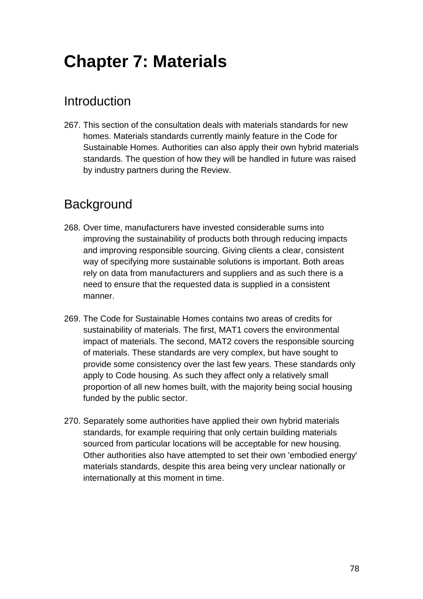# **Chapter 7: Materials**

# Introduction

267. This section of the consultation deals with materials standards for new homes. Materials standards currently mainly feature in the Code for Sustainable Homes. Authorities can also apply their own hybrid materials standards. The question of how they will be handled in future was raised by industry partners during the Review.

# **Background**

- 268. Over time, manufacturers have invested considerable sums into improving the sustainability of products both through reducing impacts and improving responsible sourcing. Giving clients a clear, consistent way of specifying more sustainable solutions is important. Both areas rely on data from manufacturers and suppliers and as such there is a need to ensure that the requested data is supplied in a consistent manner.
- 269. The Code for Sustainable Homes contains two areas of credits for sustainability of materials. The first, MAT1 covers the environmental impact of materials. The second, MAT2 covers the responsible sourcing of materials. These standards are very complex, but have sought to provide some consistency over the last few years. These standards only apply to Code housing. As such they affect only a relatively small proportion of all new homes built, with the majority being social housing funded by the public sector.
- 270. Separately some authorities have applied their own hybrid materials standards, for example requiring that only certain building materials sourced from particular locations will be acceptable for new housing. Other authorities also have attempted to set their own 'embodied energy' materials standards, despite this area being very unclear nationally or internationally at this moment in time.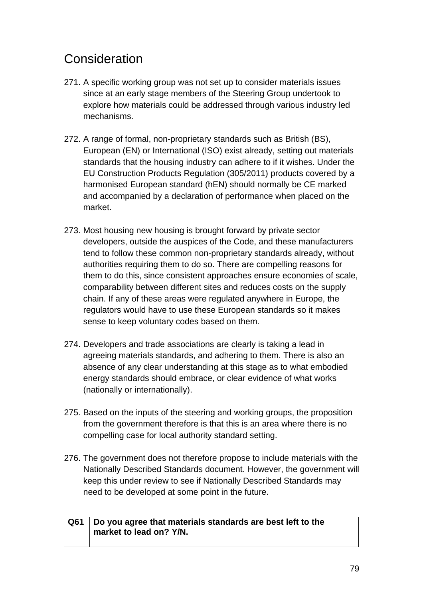# **Consideration**

- 271. A specific working group was not set up to consider materials issues since at an early stage members of the Steering Group undertook to explore how materials could be addressed through various industry led mechanisms.
- 272. A range of formal, non-proprietary standards such as British (BS), European (EN) or International (ISO) exist already, setting out materials standards that the housing industry can adhere to if it wishes. Under the EU Construction Products Regulation (305/2011) products covered by a harmonised European standard (hEN) should normally be CE marked and accompanied by a declaration of performance when placed on the market.
- 273. Most housing new housing is brought forward by private sector developers, outside the auspices of the Code, and these manufacturers tend to follow these common non-proprietary standards already, without authorities requiring them to do so. There are compelling reasons for them to do this, since consistent approaches ensure economies of scale, comparability between different sites and reduces costs on the supply chain. If any of these areas were regulated anywhere in Europe, the regulators would have to use these European standards so it makes sense to keep voluntary codes based on them.
- 274. Developers and trade associations are clearly is taking a lead in agreeing materials standards, and adhering to them. There is also an absence of any clear understanding at this stage as to what embodied energy standards should embrace, or clear evidence of what works (nationally or internationally).
- 275. Based on the inputs of the steering and working groups, the proposition from the government therefore is that this is an area where there is no compelling case for local authority standard setting.
- 276. The government does not therefore propose to include materials with the Nationally Described Standards document. However, the government will keep this under review to see if Nationally Described Standards may need to be developed at some point in the future.

### **Q61 Do you agree that materials standards are best left to the market to lead on? Y/N.**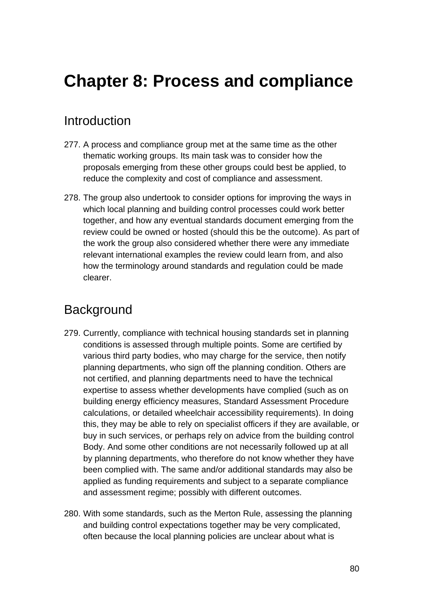# **Chapter 8: Process and compliance**

### Introduction

- 277. A process and compliance group met at the same time as the other thematic working groups. Its main task was to consider how the proposals emerging from these other groups could best be applied, to reduce the complexity and cost of compliance and assessment.
- 278. The group also undertook to consider options for improving the ways in which local planning and building control processes could work better together, and how any eventual standards document emerging from the review could be owned or hosted (should this be the outcome). As part of the work the group also considered whether there were any immediate relevant international examples the review could learn from, and also how the terminology around standards and regulation could be made clearer.

### **Background**

- 279. Currently, compliance with technical housing standards set in planning conditions is assessed through multiple points. Some are certified by various third party bodies, who may charge for the service, then notify planning departments, who sign off the planning condition. Others are not certified, and planning departments need to have the technical expertise to assess whether developments have complied (such as on building energy efficiency measures, Standard Assessment Procedure calculations, or detailed wheelchair accessibility requirements). In doing this, they may be able to rely on specialist officers if they are available, or buy in such services, or perhaps rely on advice from the building control Body. And some other conditions are not necessarily followed up at all by planning departments, who therefore do not know whether they have been complied with. The same and/or additional standards may also be applied as funding requirements and subject to a separate compliance and assessment regime; possibly with different outcomes.
- 280. With some standards, such as the Merton Rule, assessing the planning and building control expectations together may be very complicated, often because the local planning policies are unclear about what is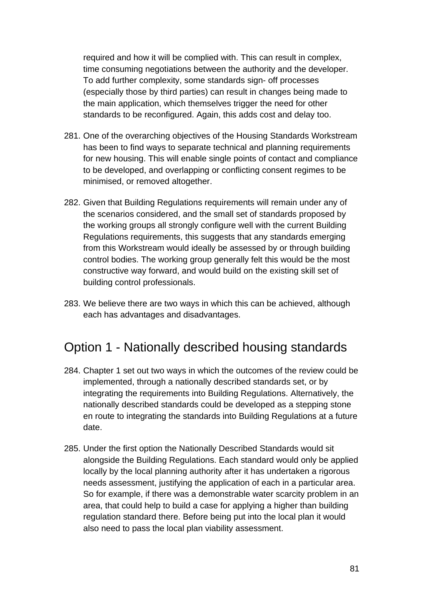required and how it will be complied with. This can result in complex, time consuming negotiations between the authority and the developer. To add further complexity, some standards sign- off processes (especially those by third parties) can result in changes being made to the main application, which themselves trigger the need for other standards to be reconfigured. Again, this adds cost and delay too.

- 281. One of the overarching objectives of the Housing Standards Workstream has been to find ways to separate technical and planning requirements for new housing. This will enable single points of contact and compliance to be developed, and overlapping or conflicting consent regimes to be minimised, or removed altogether.
- 282. Given that Building Regulations requirements will remain under any of the scenarios considered, and the small set of standards proposed by the working groups all strongly configure well with the current Building Regulations requirements, this suggests that any standards emerging from this Workstream would ideally be assessed by or through building control bodies. The working group generally felt this would be the most constructive way forward, and would build on the existing skill set of building control professionals.
- 283. We believe there are two ways in which this can be achieved, although each has advantages and disadvantages.

## Option 1 - Nationally described housing standards

- 284. Chapter 1 set out two ways in which the outcomes of the review could be implemented, through a nationally described standards set, or by integrating the requirements into Building Regulations. Alternatively, the nationally described standards could be developed as a stepping stone en route to integrating the standards into Building Regulations at a future date.
- 285. Under the first option the Nationally Described Standards would sit alongside the Building Regulations. Each standard would only be applied locally by the local planning authority after it has undertaken a rigorous needs assessment, justifying the application of each in a particular area. So for example, if there was a demonstrable water scarcity problem in an area, that could help to build a case for applying a higher than building regulation standard there. Before being put into the local plan it would also need to pass the local plan viability assessment.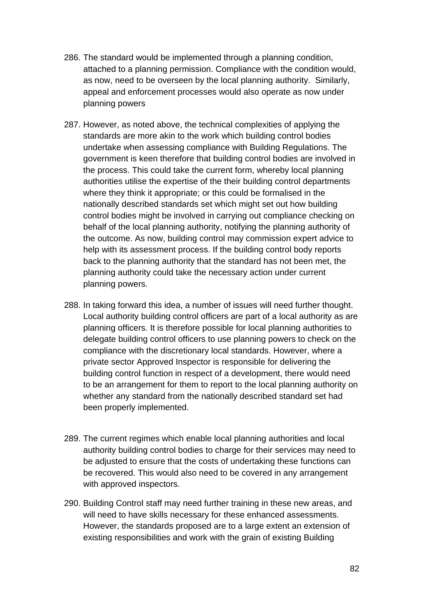- 286. The standard would be implemented through a planning condition, attached to a planning permission. Compliance with the condition would, as now, need to be overseen by the local planning authority. Similarly, appeal and enforcement processes would also operate as now under planning powers
- 287. However, as noted above, the technical complexities of applying the standards are more akin to the work which building control bodies undertake when assessing compliance with Building Regulations. The government is keen therefore that building control bodies are involved in the process. This could take the current form, whereby local planning authorities utilise the expertise of the their building control departments where they think it appropriate; or this could be formalised in the nationally described standards set which might set out how building control bodies might be involved in carrying out compliance checking on behalf of the local planning authority, notifying the planning authority of the outcome. As now, building control may commission expert advice to help with its assessment process. If the building control body reports back to the planning authority that the standard has not been met, the planning authority could take the necessary action under current planning powers.
- 288. In taking forward this idea, a number of issues will need further thought. Local authority building control officers are part of a local authority as are planning officers. It is therefore possible for local planning authorities to delegate building control officers to use planning powers to check on the compliance with the discretionary local standards. However, where a private sector Approved Inspector is responsible for delivering the building control function in respect of a development, there would need to be an arrangement for them to report to the local planning authority on whether any standard from the nationally described standard set had been properly implemented.
- 289. The current regimes which enable local planning authorities and local authority building control bodies to charge for their services may need to be adjusted to ensure that the costs of undertaking these functions can be recovered. This would also need to be covered in any arrangement with approved inspectors.
- 290. Building Control staff may need further training in these new areas, and will need to have skills necessary for these enhanced assessments. However, the standards proposed are to a large extent an extension of existing responsibilities and work with the grain of existing Building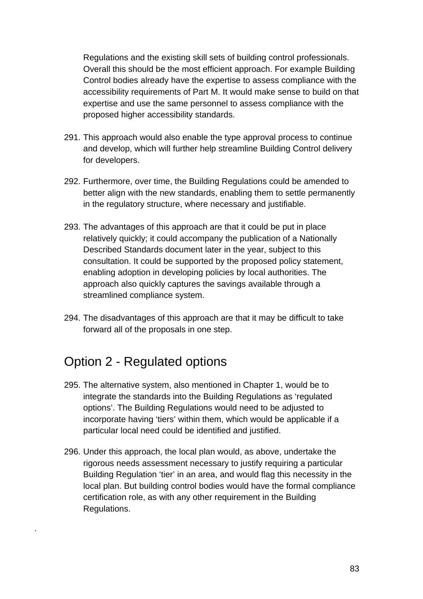Regulations and the existing skill sets of building control professionals. Overall this should be the most efficient approach. For example Building Control bodies already have the expertise to assess compliance with the accessibility requirements of Part M. It would make sense to build on that expertise and use the same personnel to assess compliance with the proposed higher accessibility standards.

- 291. This approach would also enable the type approval process to continue and develop, which will further help streamline Building Control delivery for developers.
- 292. Furthermore, over time, the Building Regulations could be amended to better align with the new standards, enabling them to settle permanently in the regulatory structure, where necessary and justifiable.
- 293. The advantages of this approach are that it could be put in place relatively quickly; it could accompany the publication of a Nationally Described Standards document later in the year, subject to this consultation. It could be supported by the proposed policy statement, enabling adoption in developing policies by local authorities. The approach also quickly captures the savings available through a streamlined compliance system.
- 294. The disadvantages of this approach are that it may be difficult to take forward all of the proposals in one step.

# Option 2 - Regulated options

.

- 295. The alternative system, also mentioned in Chapter 1, would be to integrate the standards into the Building Regulations as 'regulated options'. The Building Regulations would need to be adjusted to incorporate having 'tiers' within them, which would be applicable if a particular local need could be identified and justified.
- 296. Under this approach, the local plan would, as above, undertake the rigorous needs assessment necessary to justify requiring a particular Building Regulation 'tier' in an area, and would flag this necessity in the local plan. But building control bodies would have the formal compliance certification role, as with any other requirement in the Building Regulations.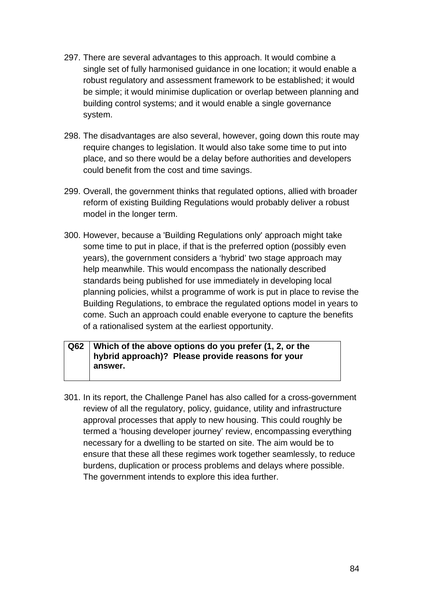- 297. There are several advantages to this approach. It would combine a single set of fully harmonised guidance in one location; it would enable a robust regulatory and assessment framework to be established; it would be simple; it would minimise duplication or overlap between planning and building control systems; and it would enable a single governance system.
- 298. The disadvantages are also several, however, going down this route may require changes to legislation. It would also take some time to put into place, and so there would be a delay before authorities and developers could benefit from the cost and time savings.
- 299. Overall, the government thinks that regulated options, allied with broader reform of existing Building Regulations would probably deliver a robust model in the longer term.
- 300. However, because a 'Building Regulations only' approach might take some time to put in place, if that is the preferred option (possibly even years), the government considers a 'hybrid' two stage approach may help meanwhile. This would encompass the nationally described standards being published for use immediately in developing local planning policies, whilst a programme of work is put in place to revise the Building Regulations, to embrace the regulated options model in years to come. Such an approach could enable everyone to capture the benefits of a rationalised system at the earliest opportunity.

#### **Q62 Which of the above options do you prefer (1, 2, or the hybrid approach)? Please provide reasons for your answer.**

301. In its report, the Challenge Panel has also called for a cross-government review of all the regulatory, policy, guidance, utility and infrastructure approval processes that apply to new housing. This could roughly be termed a 'housing developer journey' review, encompassing everything necessary for a dwelling to be started on site. The aim would be to ensure that these all these regimes work together seamlessly, to reduce burdens, duplication or process problems and delays where possible. The government intends to explore this idea further.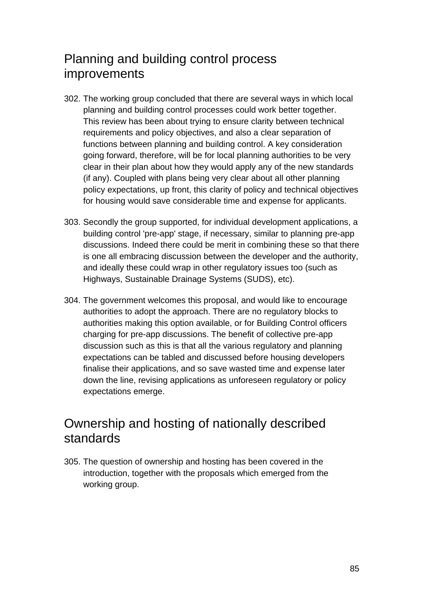# Planning and building control process improvements

- 302. The working group concluded that there are several ways in which local planning and building control processes could work better together. This review has been about trying to ensure clarity between technical requirements and policy objectives, and also a clear separation of functions between planning and building control. A key consideration going forward, therefore, will be for local planning authorities to be very clear in their plan about how they would apply any of the new standards (if any). Coupled with plans being very clear about all other planning policy expectations, up front, this clarity of policy and technical objectives for housing would save considerable time and expense for applicants.
- 303. Secondly the group supported, for individual development applications, a building control 'pre-app' stage, if necessary, similar to planning pre-app discussions. Indeed there could be merit in combining these so that there is one all embracing discussion between the developer and the authority, and ideally these could wrap in other regulatory issues too (such as Highways, Sustainable Drainage Systems (SUDS), etc).
- 304. The government welcomes this proposal, and would like to encourage authorities to adopt the approach. There are no regulatory blocks to authorities making this option available, or for Building Control officers charging for pre-app discussions. The benefit of collective pre-app discussion such as this is that all the various regulatory and planning expectations can be tabled and discussed before housing developers finalise their applications, and so save wasted time and expense later down the line, revising applications as unforeseen regulatory or policy expectations emerge.

### Ownership and hosting of nationally described standards

305. The question of ownership and hosting has been covered in the introduction, together with the proposals which emerged from the working group.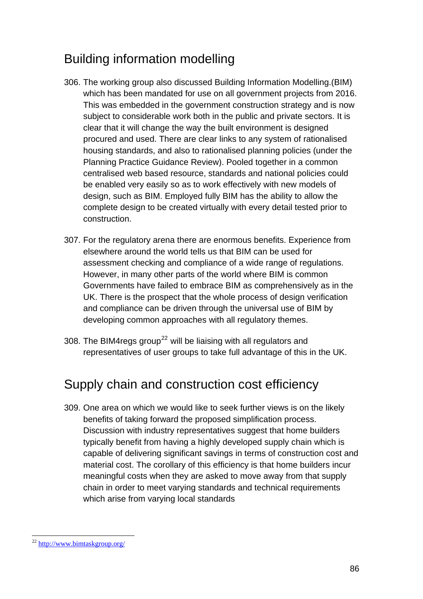# <span id="page-85-0"></span>Building information modelling

- 306. The working group also discussed Building Information Modelling.(BIM) which has been mandated for use on all government projects from 2016. This was embedded in the government construction strategy and is now subject to considerable work both in the public and private sectors. It is clear that it will change the way the built environment is designed procured and used. There are clear links to any system of rationalised housing standards, and also to rationalised planning policies (under the Planning Practice Guidance Review). Pooled together in a common centralised web based resource, standards and national policies could be enabled very easily so as to work effectively with new models of design, such as BIM. Employed fully BIM has the ability to allow the complete design to be created virtually with every detail tested prior to construction.
- 307. For the regulatory arena there are enormous benefits. Experience from elsewhere around the world tells us that BIM can be used for assessment checking and compliance of a wide range of regulations. However, in many other parts of the world where BIM is common Governments have failed to embrace BIM as comprehensively as in the UK. There is the prospect that the whole process of design verification and compliance can be driven through the universal use of BIM by developing common approaches with all regulatory themes.
- 308. The BIM4 regs group<sup>[22](#page-85-0)</sup> will be liaising with all regulators and representatives of user groups to take full advantage of this in the UK.

## Supply chain and construction cost efficiency

309. One area on which we would like to seek further views is on the likely benefits of taking forward the proposed simplification process. Discussion with industry representatives suggest that home builders typically benefit from having a highly developed supply chain which is capable of delivering significant savings in terms of construction cost and material cost. The corollary of this efficiency is that home builders incur meaningful costs when they are asked to move away from that supply chain in order to meet varying standards and technical requirements which arise from varying local standards

l <sup>22</sup> <http://www.bimtaskgroup.org/>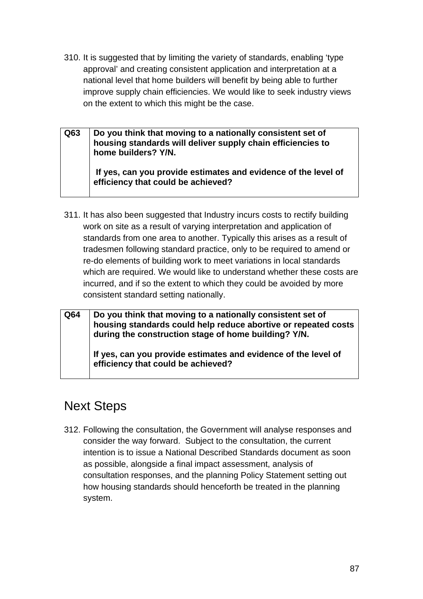310. It is suggested that by limiting the variety of standards, enabling 'type approval' and creating consistent application and interpretation at a national level that home builders will benefit by being able to further improve supply chain efficiencies. We would like to seek industry views on the extent to which this might be the case.

**Q63 Do you think that moving to a nationally consistent set of housing standards will deliver supply chain efficiencies to home builders? Y/N. If yes, can you provide estimates and evidence of the level of efficiency that could be achieved?** 

- 311. It has also been suggested that Industry incurs costs to rectify building work on site as a result of varying interpretation and application of standards from one area to another. Typically this arises as a result of tradesmen following standard practice, only to be required to amend or re-do elements of building work to meet variations in local standards which are required. We would like to understand whether these costs are incurred, and if so the extent to which they could be avoided by more consistent standard setting nationally.
- **Q64 Do you think that moving to a nationally consistent set of housing standards could help reduce abortive or repeated costs during the construction stage of home building? Y/N. If yes, can you provide estimates and evidence of the level of efficiency that could be achieved?**

# Next Steps

312. Following the consultation, the Government will analyse responses and consider the way forward. Subject to the consultation, the current intention is to issue a National Described Standards document as soon as possible, alongside a final impact assessment, analysis of consultation responses, and the planning Policy Statement setting out how housing standards should henceforth be treated in the planning system.